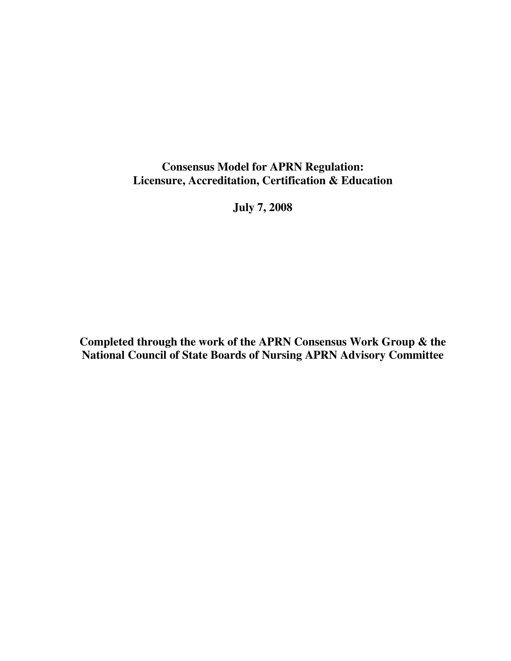# **Consensus Model for APRN Regulation: Licensure, Accreditation, Certification & Education**

**July 7, 2008** 

**Completed through the work of the APRN Consensus Work Group & the National Council of State Boards of Nursing APRN Advisory Committee**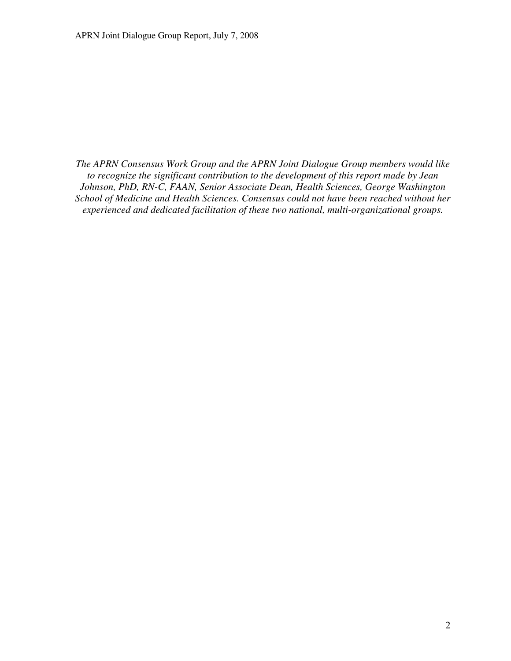*The APRN Consensus Work Group and the APRN Joint Dialogue Group members would like to recognize the significant contribution to the development of this report made by Jean Johnson, PhD, RN-C, FAAN, Senior Associate Dean, Health Sciences, George Washington School of Medicine and Health Sciences. Consensus could not have been reached without her experienced and dedicated facilitation of these two national, multi-organizational groups.*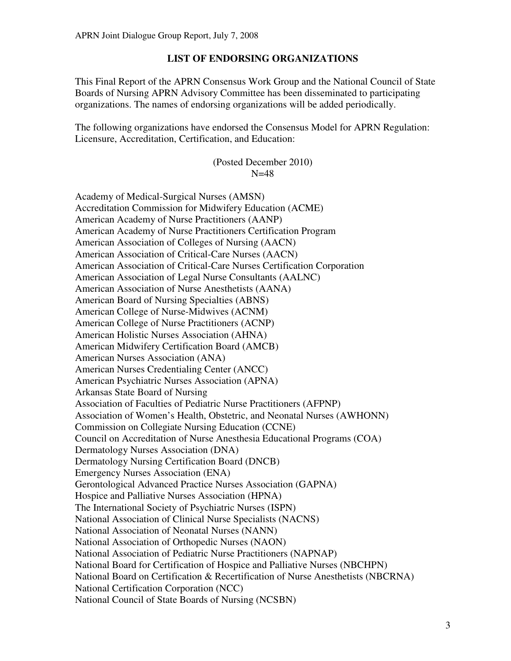#### **LIST OF ENDORSING ORGANIZATIONS**

This Final Report of the APRN Consensus Work Group and the National Council of State Boards of Nursing APRN Advisory Committee has been disseminated to participating organizations. The names of endorsing organizations will be added periodically.

The following organizations have endorsed the Consensus Model for APRN Regulation: Licensure, Accreditation, Certification, and Education:

#### (Posted December 2010)  $N=48$

Academy of Medical-Surgical Nurses (AMSN) Accreditation Commission for Midwifery Education (ACME) American Academy of Nurse Practitioners (AANP) American Academy of Nurse Practitioners Certification Program American Association of Colleges of Nursing (AACN) American Association of Critical-Care Nurses (AACN) American Association of Critical-Care Nurses Certification Corporation American Association of Legal Nurse Consultants (AALNC) American Association of Nurse Anesthetists (AANA) American Board of Nursing Specialties (ABNS) American College of Nurse-Midwives (ACNM) American College of Nurse Practitioners (ACNP) American Holistic Nurses Association (AHNA) American Midwifery Certification Board (AMCB) American Nurses Association (ANA) American Nurses Credentialing Center (ANCC) American Psychiatric Nurses Association (APNA) Arkansas State Board of Nursing Association of Faculties of Pediatric Nurse Practitioners (AFPNP) Association of Women's Health, Obstetric, and Neonatal Nurses (AWHONN) Commission on Collegiate Nursing Education (CCNE) Council on Accreditation of Nurse Anesthesia Educational Programs (COA) Dermatology Nurses Association (DNA) Dermatology Nursing Certification Board (DNCB) Emergency Nurses Association (ENA) Gerontological Advanced Practice Nurses Association (GAPNA) Hospice and Palliative Nurses Association (HPNA) The International Society of Psychiatric Nurses (ISPN) National Association of Clinical Nurse Specialists (NACNS) National Association of Neonatal Nurses (NANN) National Association of Orthopedic Nurses (NAON) National Association of Pediatric Nurse Practitioners (NAPNAP) National Board for Certification of Hospice and Palliative Nurses (NBCHPN) National Board on Certification & Recertification of Nurse Anesthetists (NBCRNA) National Certification Corporation (NCC) National Council of State Boards of Nursing (NCSBN)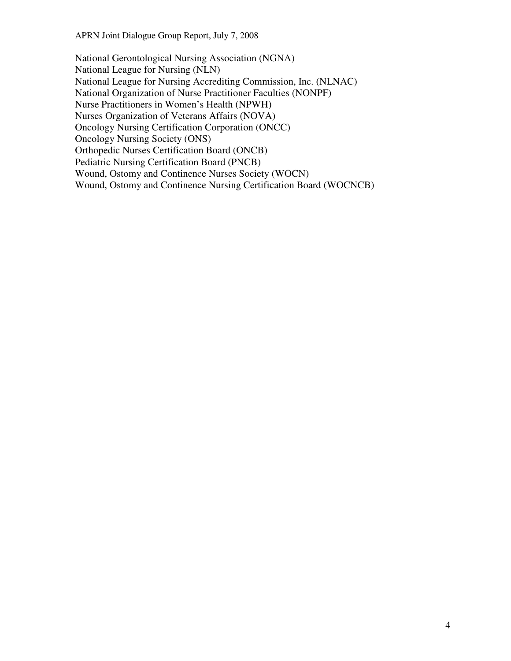APRN Joint Dialogue Group Report, July 7, 2008

National Gerontological Nursing Association (NGNA) National League for Nursing (NLN) National League for Nursing Accrediting Commission, Inc. (NLNAC) National Organization of Nurse Practitioner Faculties (NONPF) Nurse Practitioners in Women's Health (NPWH) Nurses Organization of Veterans Affairs (NOVA) Oncology Nursing Certification Corporation (ONCC) Oncology Nursing Society (ONS) Orthopedic Nurses Certification Board (ONCB) Pediatric Nursing Certification Board (PNCB) Wound, Ostomy and Continence Nurses Society (WOCN) Wound, Ostomy and Continence Nursing Certification Board (WOCNCB)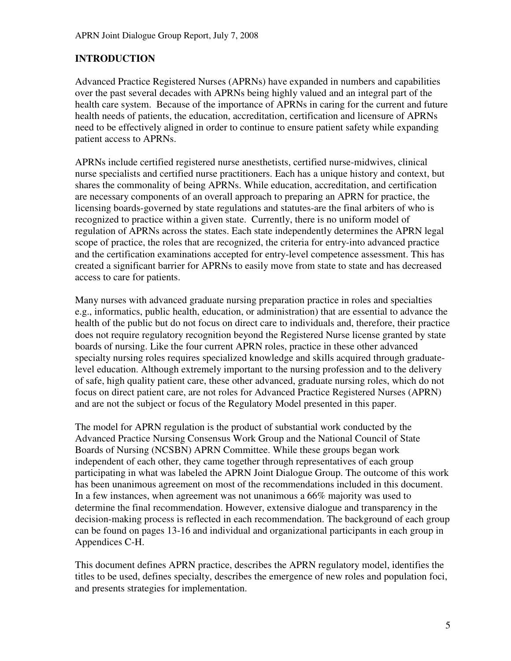## **INTRODUCTION**

Advanced Practice Registered Nurses (APRNs) have expanded in numbers and capabilities over the past several decades with APRNs being highly valued and an integral part of the health care system. Because of the importance of APRNs in caring for the current and future health needs of patients, the education, accreditation, certification and licensure of APRNs need to be effectively aligned in order to continue to ensure patient safety while expanding patient access to APRNs.

APRNs include certified registered nurse anesthetists, certified nurse-midwives, clinical nurse specialists and certified nurse practitioners. Each has a unique history and context, but shares the commonality of being APRNs. While education, accreditation, and certification are necessary components of an overall approach to preparing an APRN for practice, the licensing boards-governed by state regulations and statutes-are the final arbiters of who is recognized to practice within a given state. Currently, there is no uniform model of regulation of APRNs across the states. Each state independently determines the APRN legal scope of practice, the roles that are recognized, the criteria for entry-into advanced practice and the certification examinations accepted for entry-level competence assessment. This has created a significant barrier for APRNs to easily move from state to state and has decreased access to care for patients.

Many nurses with advanced graduate nursing preparation practice in roles and specialties e.g., informatics, public health, education, or administration) that are essential to advance the health of the public but do not focus on direct care to individuals and, therefore, their practice does not require regulatory recognition beyond the Registered Nurse license granted by state boards of nursing. Like the four current APRN roles, practice in these other advanced specialty nursing roles requires specialized knowledge and skills acquired through graduatelevel education. Although extremely important to the nursing profession and to the delivery of safe, high quality patient care, these other advanced, graduate nursing roles, which do not focus on direct patient care, are not roles for Advanced Practice Registered Nurses (APRN) and are not the subject or focus of the Regulatory Model presented in this paper.

The model for APRN regulation is the product of substantial work conducted by the Advanced Practice Nursing Consensus Work Group and the National Council of State Boards of Nursing (NCSBN) APRN Committee. While these groups began work independent of each other, they came together through representatives of each group participating in what was labeled the APRN Joint Dialogue Group. The outcome of this work has been unanimous agreement on most of the recommendations included in this document. In a few instances, when agreement was not unanimous a 66% majority was used to determine the final recommendation. However, extensive dialogue and transparency in the decision-making process is reflected in each recommendation. The background of each group can be found on pages 13-16 and individual and organizational participants in each group in Appendices C-H.

This document defines APRN practice, describes the APRN regulatory model, identifies the titles to be used, defines specialty, describes the emergence of new roles and population foci, and presents strategies for implementation.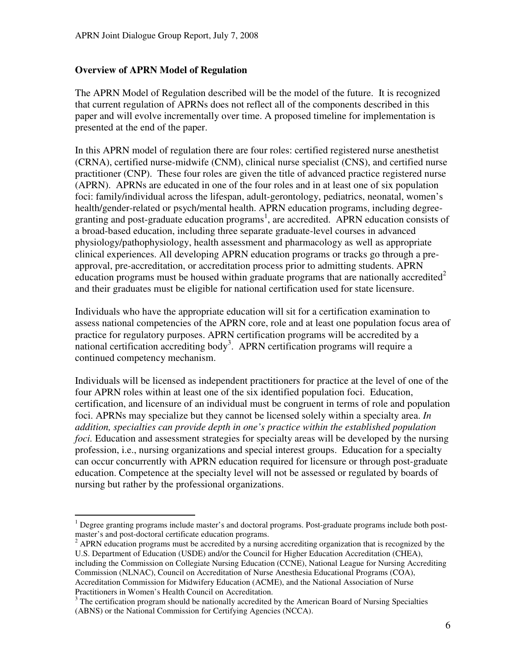#### **Overview of APRN Model of Regulation**

 $\overline{a}$ 

The APRN Model of Regulation described will be the model of the future. It is recognized that current regulation of APRNs does not reflect all of the components described in this paper and will evolve incrementally over time. A proposed timeline for implementation is presented at the end of the paper.

In this APRN model of regulation there are four roles: certified registered nurse anesthetist (CRNA), certified nurse-midwife (CNM), clinical nurse specialist (CNS), and certified nurse practitioner (CNP). These four roles are given the title of advanced practice registered nurse (APRN). APRNs are educated in one of the four roles and in at least one of six population foci: family/individual across the lifespan, adult-gerontology, pediatrics, neonatal, women's health/gender-related or psych/mental health. APRN education programs, including degreegranting and post-graduate education programs<sup>1</sup>, are accredited. APRN education consists of a broad-based education, including three separate graduate-level courses in advanced physiology/pathophysiology, health assessment and pharmacology as well as appropriate clinical experiences. All developing APRN education programs or tracks go through a preapproval, pre-accreditation, or accreditation process prior to admitting students. APRN education programs must be housed within graduate programs that are nationally accredited<sup>2</sup> and their graduates must be eligible for national certification used for state licensure.

Individuals who have the appropriate education will sit for a certification examination to assess national competencies of the APRN core, role and at least one population focus area of practice for regulatory purposes. APRN certification programs will be accredited by a national certification accrediting body<sup>3</sup>. APRN certification programs will require a continued competency mechanism.

Individuals will be licensed as independent practitioners for practice at the level of one of the four APRN roles within at least one of the six identified population foci. Education, certification, and licensure of an individual must be congruent in terms of role and population foci. APRNs may specialize but they cannot be licensed solely within a specialty area. *In addition, specialties can provide depth in one's practice within the established population foci.* Education and assessment strategies for specialty areas will be developed by the nursing profession, i.e., nursing organizations and special interest groups. Education for a specialty can occur concurrently with APRN education required for licensure or through post-graduate education. Competence at the specialty level will not be assessed or regulated by boards of nursing but rather by the professional organizations.

 $2$  APRN education programs must be accredited by a nursing accrediting organization that is recognized by the U.S. Department of Education (USDE) and/or the Council for Higher Education Accreditation (CHEA), including the Commission on Collegiate Nursing Education (CCNE), National League for Nursing Accrediting Commission (NLNAC), Council on Accreditation of Nurse Anesthesia Educational Programs (COA), Accreditation Commission for Midwifery Education (ACME), and the National Association of Nurse Practitioners in Women's Health Council on Accreditation.

 $3$  The certification program should be nationally accredited by the American Board of Nursing Specialties (ABNS) or the National Commission for Certifying Agencies (NCCA).

<sup>&</sup>lt;sup>1</sup> Degree granting programs include master's and doctoral programs. Post-graduate programs include both postmaster's and post-doctoral certificate education programs.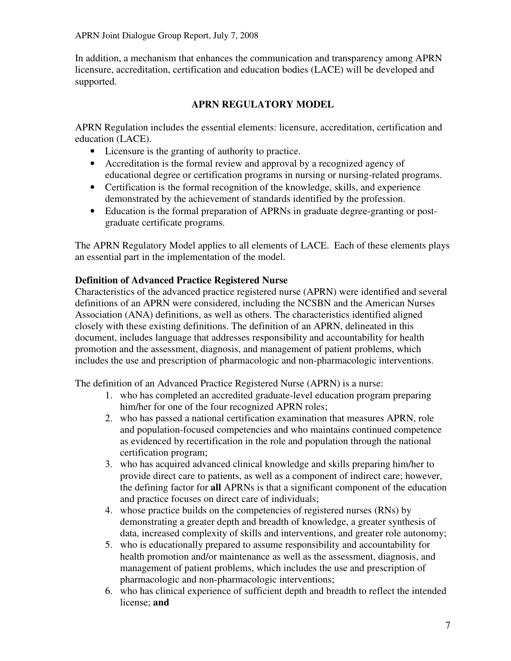In addition, a mechanism that enhances the communication and transparency among APRN licensure, accreditation, certification and education bodies (LACE) will be developed and supported.

## **APRN REGULATORY MODEL**

APRN Regulation includes the essential elements: licensure, accreditation, certification and education (LACE).

- Licensure is the granting of authority to practice.
- Accreditation is the formal review and approval by a recognized agency of educational degree or certification programs in nursing or nursing-related programs.
- Certification is the formal recognition of the knowledge, skills, and experience demonstrated by the achievement of standards identified by the profession.
- Education is the formal preparation of APRNs in graduate degree-granting or postgraduate certificate programs.

The APRN Regulatory Model applies to all elements of LACE. Each of these elements plays an essential part in the implementation of the model.

### **Definition of Advanced Practice Registered Nurse**

Characteristics of the advanced practice registered nurse (APRN) were identified and several definitions of an APRN were considered, including the NCSBN and the American Nurses Association (ANA) definitions, as well as others. The characteristics identified aligned closely with these existing definitions. The definition of an APRN, delineated in this document, includes language that addresses responsibility and accountability for health promotion and the assessment, diagnosis, and management of patient problems, which includes the use and prescription of pharmacologic and non-pharmacologic interventions.

The definition of an Advanced Practice Registered Nurse (APRN) is a nurse:

- 1. who has completed an accredited graduate-level education program preparing him/her for one of the four recognized APRN roles;
- 2. who has passed a national certification examination that measures APRN, role and population-focused competencies and who maintains continued competence as evidenced by recertification in the role and population through the national certification program;
- 3. who has acquired advanced clinical knowledge and skills preparing him/her to provide direct care to patients, as well as a component of indirect care; however, the defining factor for **all** APRNs is that a significant component of the education and practice focuses on direct care of individuals;
- 4. whose practice builds on the competencies of registered nurses (RNs) by demonstrating a greater depth and breadth of knowledge, a greater synthesis of data, increased complexity of skills and interventions, and greater role autonomy;
- 5. who is educationally prepared to assume responsibility and accountability for health promotion and/or maintenance as well as the assessment, diagnosis, and management of patient problems, which includes the use and prescription of pharmacologic and non-pharmacologic interventions;
- 6. who has clinical experience of sufficient depth and breadth to reflect the intended license; **and**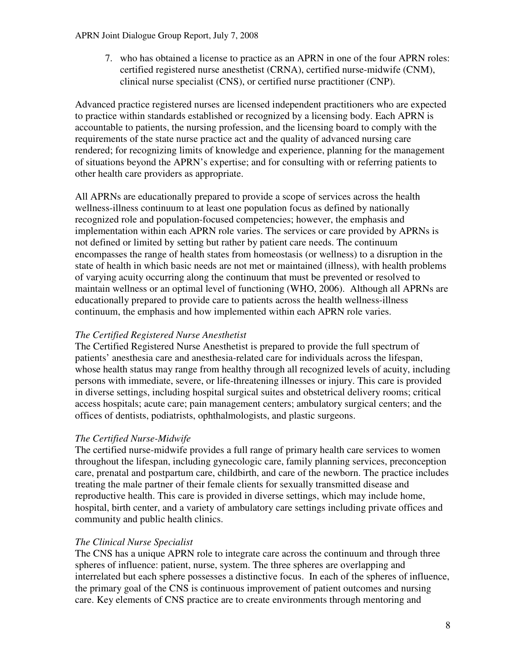7. who has obtained a license to practice as an APRN in one of the four APRN roles: certified registered nurse anesthetist (CRNA), certified nurse-midwife (CNM), clinical nurse specialist (CNS), or certified nurse practitioner (CNP).

Advanced practice registered nurses are licensed independent practitioners who are expected to practice within standards established or recognized by a licensing body. Each APRN is accountable to patients, the nursing profession, and the licensing board to comply with the requirements of the state nurse practice act and the quality of advanced nursing care rendered; for recognizing limits of knowledge and experience, planning for the management of situations beyond the APRN's expertise; and for consulting with or referring patients to other health care providers as appropriate.

All APRNs are educationally prepared to provide a scope of services across the health wellness-illness continuum to at least one population focus as defined by nationally recognized role and population-focused competencies; however, the emphasis and implementation within each APRN role varies. The services or care provided by APRNs is not defined or limited by setting but rather by patient care needs. The continuum encompasses the range of health states from homeostasis (or wellness) to a disruption in the state of health in which basic needs are not met or maintained (illness), with health problems of varying acuity occurring along the continuum that must be prevented or resolved to maintain wellness or an optimal level of functioning (WHO, 2006). Although all APRNs are educationally prepared to provide care to patients across the health wellness-illness continuum, the emphasis and how implemented within each APRN role varies.

## *The Certified Registered Nurse Anesthetist*

The Certified Registered Nurse Anesthetist is prepared to provide the full spectrum of patients' anesthesia care and anesthesia-related care for individuals across the lifespan, whose health status may range from healthy through all recognized levels of acuity, including persons with immediate, severe, or life-threatening illnesses or injury. This care is provided in diverse settings, including hospital surgical suites and obstetrical delivery rooms; critical access hospitals; acute care; pain management centers; ambulatory surgical centers; and the offices of dentists, podiatrists, ophthalmologists, and plastic surgeons.

## *The Certified Nurse-Midwife*

The certified nurse-midwife provides a full range of primary health care services to women throughout the lifespan, including gynecologic care, family planning services, preconception care, prenatal and postpartum care, childbirth, and care of the newborn. The practice includes treating the male partner of their female clients for sexually transmitted disease and reproductive health. This care is provided in diverse settings, which may include home, hospital, birth center, and a variety of ambulatory care settings including private offices and community and public health clinics.

## *The Clinical Nurse Specialist*

The CNS has a unique APRN role to integrate care across the continuum and through three spheres of influence: patient, nurse, system. The three spheres are overlapping and interrelated but each sphere possesses a distinctive focus. In each of the spheres of influence, the primary goal of the CNS is continuous improvement of patient outcomes and nursing care. Key elements of CNS practice are to create environments through mentoring and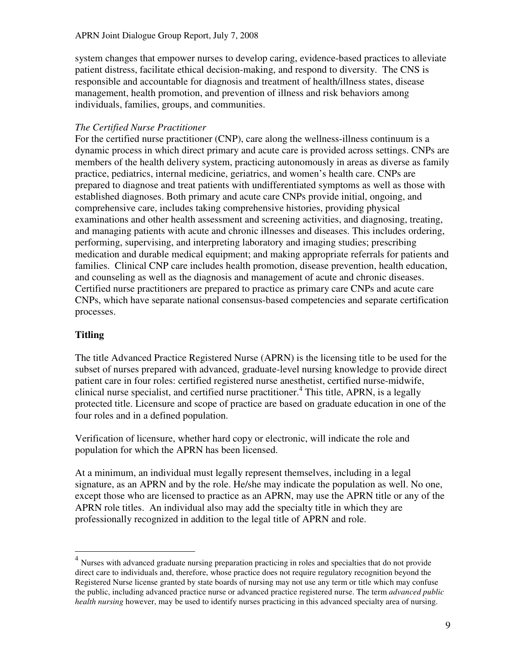system changes that empower nurses to develop caring, evidence-based practices to alleviate patient distress, facilitate ethical decision-making, and respond to diversity. The CNS is responsible and accountable for diagnosis and treatment of health/illness states, disease management, health promotion, and prevention of illness and risk behaviors among individuals, families, groups, and communities.

#### *The Certified Nurse Practitioner*

For the certified nurse practitioner (CNP), care along the wellness-illness continuum is a dynamic process in which direct primary and acute care is provided across settings. CNPs are members of the health delivery system, practicing autonomously in areas as diverse as family practice, pediatrics, internal medicine, geriatrics, and women's health care. CNPs are prepared to diagnose and treat patients with undifferentiated symptoms as well as those with established diagnoses. Both primary and acute care CNPs provide initial, ongoing, and comprehensive care, includes taking comprehensive histories, providing physical examinations and other health assessment and screening activities, and diagnosing, treating, and managing patients with acute and chronic illnesses and diseases. This includes ordering, performing, supervising, and interpreting laboratory and imaging studies; prescribing medication and durable medical equipment; and making appropriate referrals for patients and families. Clinical CNP care includes health promotion, disease prevention, health education, and counseling as well as the diagnosis and management of acute and chronic diseases. Certified nurse practitioners are prepared to practice as primary care CNPs and acute care CNPs, which have separate national consensus-based competencies and separate certification processes.

### **Titling**

 $\overline{a}$ 

The title Advanced Practice Registered Nurse (APRN) is the licensing title to be used for the subset of nurses prepared with advanced, graduate-level nursing knowledge to provide direct patient care in four roles: certified registered nurse anesthetist, certified nurse-midwife, clinical nurse specialist, and certified nurse practitioner.<sup>4</sup> This title, APRN, is a legally protected title. Licensure and scope of practice are based on graduate education in one of the four roles and in a defined population.

Verification of licensure, whether hard copy or electronic, will indicate the role and population for which the APRN has been licensed.

At a minimum, an individual must legally represent themselves, including in a legal signature, as an APRN and by the role. He/she may indicate the population as well. No one, except those who are licensed to practice as an APRN, may use the APRN title or any of the APRN role titles. An individual also may add the specialty title in which they are professionally recognized in addition to the legal title of APRN and role.

<sup>&</sup>lt;sup>4</sup> Nurses with advanced graduate nursing preparation practicing in roles and specialties that do not provide direct care to individuals and, therefore, whose practice does not require regulatory recognition beyond the Registered Nurse license granted by state boards of nursing may not use any term or title which may confuse the public, including advanced practice nurse or advanced practice registered nurse. The term *advanced public health nursing* however, may be used to identify nurses practicing in this advanced specialty area of nursing.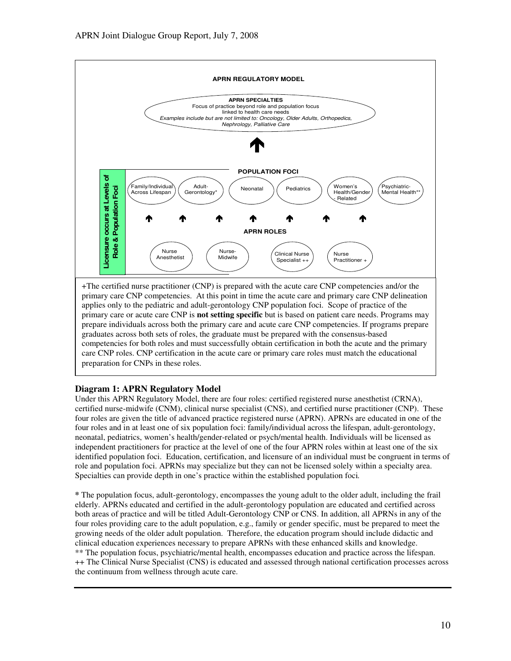

+The certified nurse practitioner (CNP) is prepared with the acute care CNP competencies and/or the primary care CNP competencies. At this point in time the acute care and primary care CNP delineation applies only to the pediatric and adult-gerontology CNP population foci. Scope of practice of the primary care or acute care CNP is **not setting specific** but is based on patient care needs. Programs may prepare individuals across both the primary care and acute care CNP competencies. If programs prepare graduates across both sets of roles, the graduate must be prepared with the consensus-based competencies for both roles and must successfully obtain certification in both the acute and the primary care CNP roles. CNP certification in the acute care or primary care roles must match the educational preparation for CNPs in these roles.

#### **Diagram 1: APRN Regulatory Model**

Under this APRN Regulatory Model, there are four roles: certified registered nurse anesthetist (CRNA), certified nurse-midwife (CNM), clinical nurse specialist (CNS), and certified nurse practitioner (CNP). These four roles are given the title of advanced practice registered nurse (APRN). APRNs are educated in one of the four roles and in at least one of six population foci: family/individual across the lifespan, adult-gerontology, neonatal, pediatrics, women's health/gender-related or psych/mental health. Individuals will be licensed as independent practitioners for practice at the level of one of the four APRN roles within at least one of the six identified population foci. Education, certification, and licensure of an individual must be congruent in terms of role and population foci. APRNs may specialize but they can not be licensed solely within a specialty area. Specialties can provide depth in one's practice within the established population foci*.*

**\*** The population focus, adult-gerontology, encompasses the young adult to the older adult, including the frail elderly. APRNs educated and certified in the adult-gerontology population are educated and certified across both areas of practice and will be titled Adult-Gerontology CNP or CNS. In addition, all APRNs in any of the four roles providing care to the adult population, e.g., family or gender specific, must be prepared to meet the growing needs of the older adult population. Therefore, the education program should include didactic and clinical education experiences necessary to prepare APRNs with these enhanced skills and knowledge. \*\* The population focus, psychiatric/mental health, encompasses education and practice across the lifespan. ++ The Clinical Nurse Specialist (CNS) is educated and assessed through national certification processes across the continuum from wellness through acute care.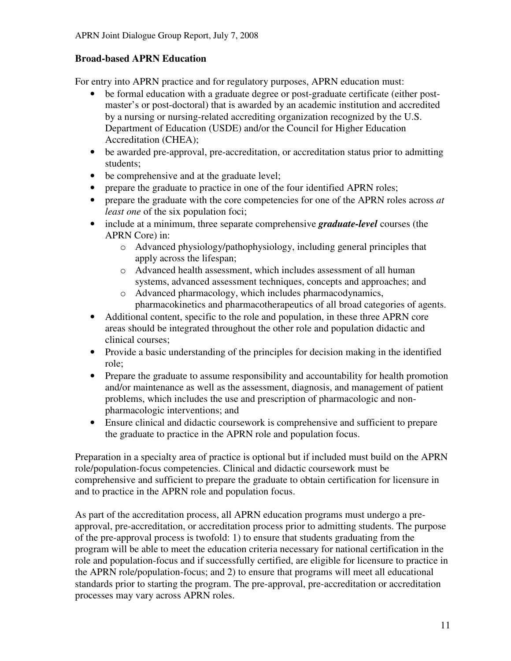#### **Broad-based APRN Education**

For entry into APRN practice and for regulatory purposes, APRN education must:

- be formal education with a graduate degree or post-graduate certificate (either postmaster's or post-doctoral) that is awarded by an academic institution and accredited by a nursing or nursing-related accrediting organization recognized by the U.S. Department of Education (USDE) and/or the Council for Higher Education Accreditation (CHEA);
- be awarded pre-approval, pre-accreditation, or accreditation status prior to admitting students;
- be comprehensive and at the graduate level;
- prepare the graduate to practice in one of the four identified APRN roles;
- prepare the graduate with the core competencies for one of the APRN roles across *at least one* of the six population foci;
- include at a minimum, three separate comprehensive *graduate-level* courses (the APRN Core) in:
	- o Advanced physiology/pathophysiology, including general principles that apply across the lifespan;
	- o Advanced health assessment, which includes assessment of all human systems, advanced assessment techniques, concepts and approaches; and
	- o Advanced pharmacology, which includes pharmacodynamics, pharmacokinetics and pharmacotherapeutics of all broad categories of agents.
- Additional content, specific to the role and population, in these three APRN core areas should be integrated throughout the other role and population didactic and clinical courses;
- Provide a basic understanding of the principles for decision making in the identified role;
- Prepare the graduate to assume responsibility and accountability for health promotion and/or maintenance as well as the assessment, diagnosis, and management of patient problems, which includes the use and prescription of pharmacologic and nonpharmacologic interventions; and
- Ensure clinical and didactic coursework is comprehensive and sufficient to prepare the graduate to practice in the APRN role and population focus.

Preparation in a specialty area of practice is optional but if included must build on the APRN role/population-focus competencies. Clinical and didactic coursework must be comprehensive and sufficient to prepare the graduate to obtain certification for licensure in and to practice in the APRN role and population focus.

As part of the accreditation process, all APRN education programs must undergo a preapproval, pre-accreditation, or accreditation process prior to admitting students. The purpose of the pre-approval process is twofold: 1) to ensure that students graduating from the program will be able to meet the education criteria necessary for national certification in the role and population-focus and if successfully certified, are eligible for licensure to practice in the APRN role/population-focus; and 2) to ensure that programs will meet all educational standards prior to starting the program. The pre-approval, pre-accreditation or accreditation processes may vary across APRN roles.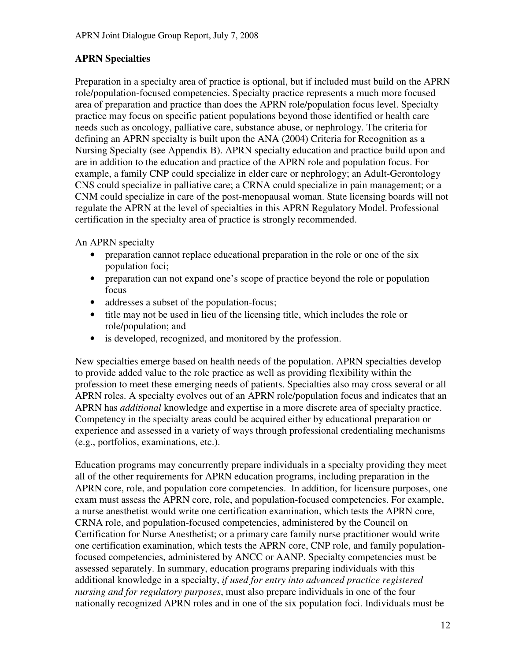## **APRN Specialties**

Preparation in a specialty area of practice is optional, but if included must build on the APRN role/population-focused competencies. Specialty practice represents a much more focused area of preparation and practice than does the APRN role/population focus level. Specialty practice may focus on specific patient populations beyond those identified or health care needs such as oncology, palliative care, substance abuse, or nephrology. The criteria for defining an APRN specialty is built upon the ANA (2004) Criteria for Recognition as a Nursing Specialty (see Appendix B). APRN specialty education and practice build upon and are in addition to the education and practice of the APRN role and population focus. For example, a family CNP could specialize in elder care or nephrology; an Adult-Gerontology CNS could specialize in palliative care; a CRNA could specialize in pain management; or a CNM could specialize in care of the post-menopausal woman. State licensing boards will not regulate the APRN at the level of specialties in this APRN Regulatory Model. Professional certification in the specialty area of practice is strongly recommended.

An APRN specialty

- preparation cannot replace educational preparation in the role or one of the six population foci;
- preparation can not expand one's scope of practice beyond the role or population focus
- addresses a subset of the population-focus;
- title may not be used in lieu of the licensing title, which includes the role or role/population; and
- is developed, recognized, and monitored by the profession.

New specialties emerge based on health needs of the population. APRN specialties develop to provide added value to the role practice as well as providing flexibility within the profession to meet these emerging needs of patients. Specialties also may cross several or all APRN roles. A specialty evolves out of an APRN role/population focus and indicates that an APRN has *additional* knowledge and expertise in a more discrete area of specialty practice. Competency in the specialty areas could be acquired either by educational preparation or experience and assessed in a variety of ways through professional credentialing mechanisms (e.g., portfolios, examinations, etc.).

Education programs may concurrently prepare individuals in a specialty providing they meet all of the other requirements for APRN education programs, including preparation in the APRN core, role, and population core competencies. In addition, for licensure purposes, one exam must assess the APRN core, role, and population-focused competencies. For example, a nurse anesthetist would write one certification examination, which tests the APRN core, CRNA role, and population-focused competencies, administered by the Council on Certification for Nurse Anesthetist; or a primary care family nurse practitioner would write one certification examination, which tests the APRN core, CNP role, and family populationfocused competencies, administered by ANCC or AANP. Specialty competencies must be assessed separately. In summary, education programs preparing individuals with this additional knowledge in a specialty, *if used for entry into advanced practice registered nursing and for regulatory purposes*, must also prepare individuals in one of the four nationally recognized APRN roles and in one of the six population foci. Individuals must be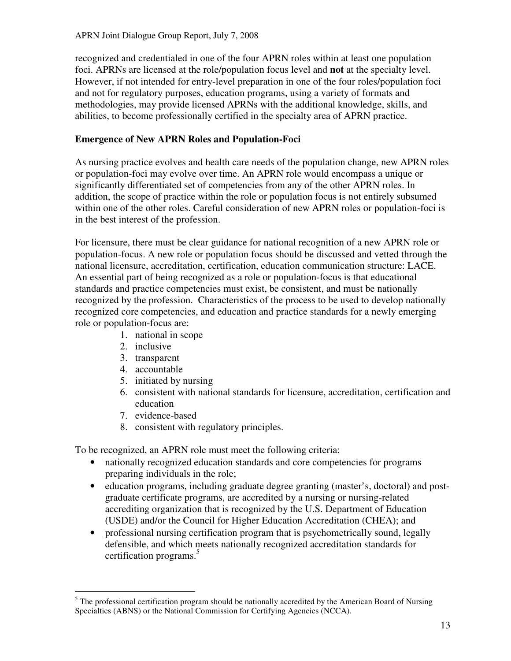recognized and credentialed in one of the four APRN roles within at least one population foci. APRNs are licensed at the role/population focus level and **not** at the specialty level. However, if not intended for entry-level preparation in one of the four roles/population foci and not for regulatory purposes, education programs, using a variety of formats and methodologies, may provide licensed APRNs with the additional knowledge, skills, and abilities, to become professionally certified in the specialty area of APRN practice.

### **Emergence of New APRN Roles and Population-Foci**

As nursing practice evolves and health care needs of the population change, new APRN roles or population-foci may evolve over time. An APRN role would encompass a unique or significantly differentiated set of competencies from any of the other APRN roles. In addition, the scope of practice within the role or population focus is not entirely subsumed within one of the other roles. Careful consideration of new APRN roles or population-foci is in the best interest of the profession.

For licensure, there must be clear guidance for national recognition of a new APRN role or population-focus. A new role or population focus should be discussed and vetted through the national licensure, accreditation, certification, education communication structure: LACE. An essential part of being recognized as a role or population-focus is that educational standards and practice competencies must exist, be consistent, and must be nationally recognized by the profession. Characteristics of the process to be used to develop nationally recognized core competencies, and education and practice standards for a newly emerging role or population-focus are:

- 1. national in scope
- 2. inclusive
- 3. transparent
- 4. accountable
- 5. initiated by nursing
- 6. consistent with national standards for licensure, accreditation, certification and education
- 7. evidence-based

 $\overline{a}$ 

8. consistent with regulatory principles.

To be recognized, an APRN role must meet the following criteria:

- nationally recognized education standards and core competencies for programs preparing individuals in the role;
- education programs, including graduate degree granting (master's, doctoral) and postgraduate certificate programs, are accredited by a nursing or nursing-related accrediting organization that is recognized by the U.S. Department of Education (USDE) and/or the Council for Higher Education Accreditation (CHEA); and
- professional nursing certification program that is psychometrically sound, legally defensible, and which meets nationally recognized accreditation standards for certification programs.<sup>5</sup>

 $<sup>5</sup>$  The professional certification program should be nationally accredited by the American Board of Nursing</sup> Specialties (ABNS) or the National Commission for Certifying Agencies (NCCA).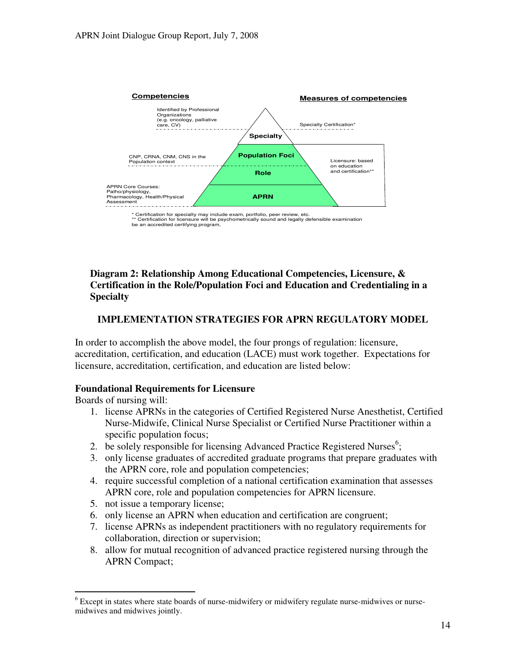

Certification for licensure will be psychometrically sound and legally defensible examination be an accredited certifying program,

#### **Diagram 2: Relationship Among Educational Competencies, Licensure, & Certification in the Role/Population Foci and Education and Credentialing in a Specialty**

#### **IMPLEMENTATION STRATEGIES FOR APRN REGULATORY MODEL**

In order to accomplish the above model, the four prongs of regulation: licensure, accreditation, certification, and education (LACE) must work together. Expectations for licensure, accreditation, certification, and education are listed below:

#### **Foundational Requirements for Licensure**

Boards of nursing will:

- 1. license APRNs in the categories of Certified Registered Nurse Anesthetist, Certified Nurse-Midwife, Clinical Nurse Specialist or Certified Nurse Practitioner within a specific population focus;
- 2. be solely responsible for licensing Advanced Practice Registered Nurses<sup>6</sup>;
- 3. only license graduates of accredited graduate programs that prepare graduates with the APRN core, role and population competencies;
- 4. require successful completion of a national certification examination that assesses APRN core, role and population competencies for APRN licensure.
- 5. not issue a temporary license;
- 6. only license an APRN when education and certification are congruent;
- 7. license APRNs as independent practitioners with no regulatory requirements for collaboration, direction or supervision;
- 8. allow for mutual recognition of advanced practice registered nursing through the APRN Compact;

 $\overline{a}$ <sup>6</sup> Except in states where state boards of nurse-midwifery or midwifery regulate nurse-midwives or nursemidwives and midwives jointly.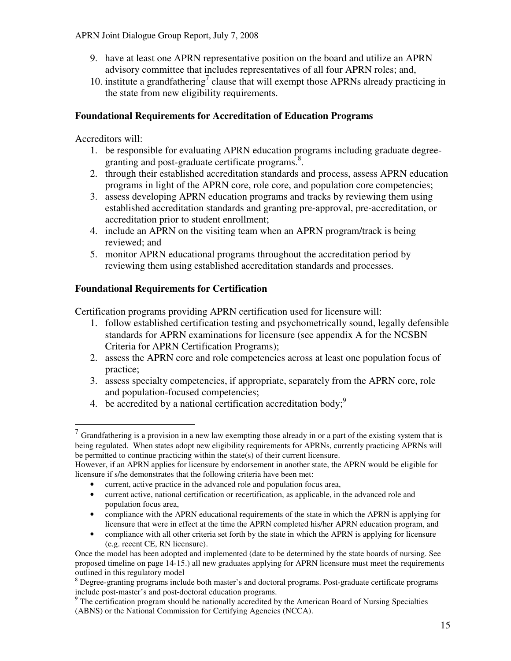- 9. have at least one APRN representative position on the board and utilize an APRN advisory committee that includes representatives of all four APRN roles; and,
- 10. institute a grandfathering<sup>7</sup> clause that will exempt those APRNs already practicing in the state from new eligibility requirements.

### **Foundational Requirements for Accreditation of Education Programs**

Accreditors will:

- 1. be responsible for evaluating APRN education programs including graduate degreegranting and post-graduate certificate programs.<sup>8</sup>.
- 2. through their established accreditation standards and process, assess APRN education programs in light of the APRN core, role core, and population core competencies;
- 3. assess developing APRN education programs and tracks by reviewing them using established accreditation standards and granting pre-approval, pre-accreditation, or accreditation prior to student enrollment;
- 4. include an APRN on the visiting team when an APRN program/track is being reviewed; and
- 5. monitor APRN educational programs throughout the accreditation period by reviewing them using established accreditation standards and processes.

## **Foundational Requirements for Certification**

Certification programs providing APRN certification used for licensure will:

- 1. follow established certification testing and psychometrically sound, legally defensible standards for APRN examinations for licensure (see appendix A for the NCSBN Criteria for APRN Certification Programs);
- 2. assess the APRN core and role competencies across at least one population focus of practice;
- 3. assess specialty competencies, if appropriate, separately from the APRN core, role and population-focused competencies;
- 4. be accredited by a national certification accreditation body;<sup>9</sup>

However, if an APRN applies for licensure by endorsement in another state, the APRN would be eligible for licensure if s/he demonstrates that the following criteria have been met:

<sup>&</sup>lt;sup>7</sup> Grandfathering is a provision in a new law exempting those already in or a part of the existing system that is being regulated. When states adopt new eligibility requirements for APRNs, currently practicing APRNs will be permitted to continue practicing within the state(s) of their current licensure.

<sup>•</sup> current, active practice in the advanced role and population focus area,

<sup>•</sup> current active, national certification or recertification, as applicable, in the advanced role and population focus area,

<sup>•</sup> compliance with the APRN educational requirements of the state in which the APRN is applying for licensure that were in effect at the time the APRN completed his/her APRN education program, and

<sup>•</sup> compliance with all other criteria set forth by the state in which the APRN is applying for licensure (e.g. recent CE, RN licensure).

Once the model has been adopted and implemented (date to be determined by the state boards of nursing. See proposed timeline on page 14-15.) all new graduates applying for APRN licensure must meet the requirements outlined in this regulatory model

<sup>&</sup>lt;sup>8</sup> Degree-granting programs include both master's and doctoral programs. Post-graduate certificate programs include post-master's and post-doctoral education programs.

<sup>&</sup>lt;sup>9</sup> The certification program should be nationally accredited by the American Board of Nursing Specialties (ABNS) or the National Commission for Certifying Agencies (NCCA).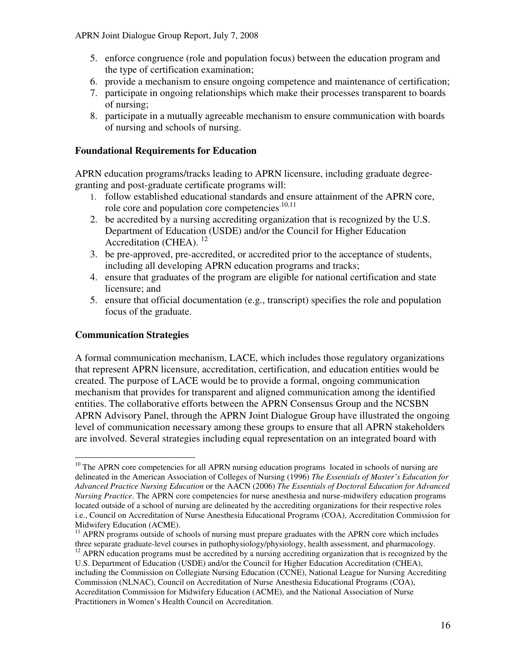- 5. enforce congruence (role and population focus) between the education program and the type of certification examination;
- 6. provide a mechanism to ensure ongoing competence and maintenance of certification;
- 7. participate in ongoing relationships which make their processes transparent to boards of nursing;
- 8. participate in a mutually agreeable mechanism to ensure communication with boards of nursing and schools of nursing.

#### **Foundational Requirements for Education**

APRN education programs/tracks leading to APRN licensure, including graduate degreegranting and post-graduate certificate programs will:

- 1. follow established educational standards and ensure attainment of the APRN core, role core and population core competencies. $10,11$
- 2. be accredited by a nursing accrediting organization that is recognized by the U.S. Department of Education (USDE) and/or the Council for Higher Education Accreditation (CHEA).  $^{12}$
- 3. be pre-approved, pre-accredited, or accredited prior to the acceptance of students, including all developing APRN education programs and tracks;
- 4. ensure that graduates of the program are eligible for national certification and state licensure; and
- 5. ensure that official documentation (e.g., transcript) specifies the role and population focus of the graduate.

#### **Communication Strategies**

 $\overline{a}$ 

A formal communication mechanism, LACE, which includes those regulatory organizations that represent APRN licensure, accreditation, certification, and education entities would be created. The purpose of LACE would be to provide a formal, ongoing communication mechanism that provides for transparent and aligned communication among the identified entities. The collaborative efforts between the APRN Consensus Group and the NCSBN APRN Advisory Panel, through the APRN Joint Dialogue Group have illustrated the ongoing level of communication necessary among these groups to ensure that all APRN stakeholders are involved. Several strategies including equal representation on an integrated board with

 $10$  The APRN core competencies for all APRN nursing education programs located in schools of nursing are delineated in the American Association of Colleges of Nursing (1996) *The Essentials of Master's Education for Advanced Practice Nursing Education* or the AACN (2006) *The Essentials of Doctoral Education for Advanced Nursing Practice*. The APRN core competencies for nurse anesthesia and nurse-midwifery education programs located outside of a school of nursing are delineated by the accrediting organizations for their respective roles i.e., Council on Accreditation of Nurse Anesthesia Educational Programs (COA), Accreditation Commission for Midwifery Education (ACME).

 $11$  APRN programs outside of schools of nursing must prepare graduates with the APRN core which includes three separate graduate-level courses in pathophysiology/physiology, health assessment, and pharmacology.

 $12$  APRN education programs must be accredited by a nursing accrediting organization that is recognized by the U.S. Department of Education (USDE) and/or the Council for Higher Education Accreditation (CHEA), including the Commission on Collegiate Nursing Education (CCNE), National League for Nursing Accrediting Commission (NLNAC), Council on Accreditation of Nurse Anesthesia Educational Programs (COA), Accreditation Commission for Midwifery Education (ACME), and the National Association of Nurse Practitioners in Women's Health Council on Accreditation.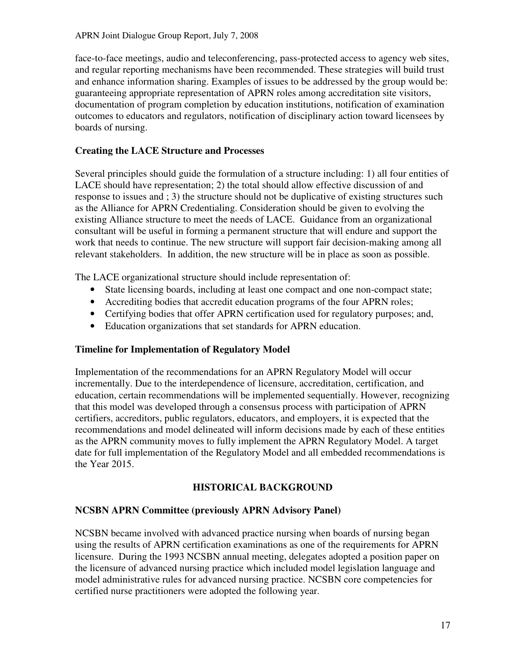face-to-face meetings, audio and teleconferencing, pass-protected access to agency web sites, and regular reporting mechanisms have been recommended. These strategies will build trust and enhance information sharing. Examples of issues to be addressed by the group would be: guaranteeing appropriate representation of APRN roles among accreditation site visitors, documentation of program completion by education institutions, notification of examination outcomes to educators and regulators, notification of disciplinary action toward licensees by boards of nursing.

### **Creating the LACE Structure and Processes**

Several principles should guide the formulation of a structure including: 1) all four entities of LACE should have representation; 2) the total should allow effective discussion of and response to issues and ; 3) the structure should not be duplicative of existing structures such as the Alliance for APRN Credentialing. Consideration should be given to evolving the existing Alliance structure to meet the needs of LACE. Guidance from an organizational consultant will be useful in forming a permanent structure that will endure and support the work that needs to continue. The new structure will support fair decision-making among all relevant stakeholders. In addition, the new structure will be in place as soon as possible.

The LACE organizational structure should include representation of:

- State licensing boards, including at least one compact and one non-compact state;
- Accrediting bodies that accredit education programs of the four APRN roles;
- Certifying bodies that offer APRN certification used for regulatory purposes; and,
- Education organizations that set standards for APRN education.

#### **Timeline for Implementation of Regulatory Model**

Implementation of the recommendations for an APRN Regulatory Model will occur incrementally. Due to the interdependence of licensure, accreditation, certification, and education, certain recommendations will be implemented sequentially. However, recognizing that this model was developed through a consensus process with participation of APRN certifiers, accreditors, public regulators, educators, and employers, it is expected that the recommendations and model delineated will inform decisions made by each of these entities as the APRN community moves to fully implement the APRN Regulatory Model. A target date for full implementation of the Regulatory Model and all embedded recommendations is the Year 2015.

## **HISTORICAL BACKGROUND**

#### **NCSBN APRN Committee (previously APRN Advisory Panel)**

NCSBN became involved with advanced practice nursing when boards of nursing began using the results of APRN certification examinations as one of the requirements for APRN licensure. During the 1993 NCSBN annual meeting, delegates adopted a position paper on the licensure of advanced nursing practice which included model legislation language and model administrative rules for advanced nursing practice. NCSBN core competencies for certified nurse practitioners were adopted the following year.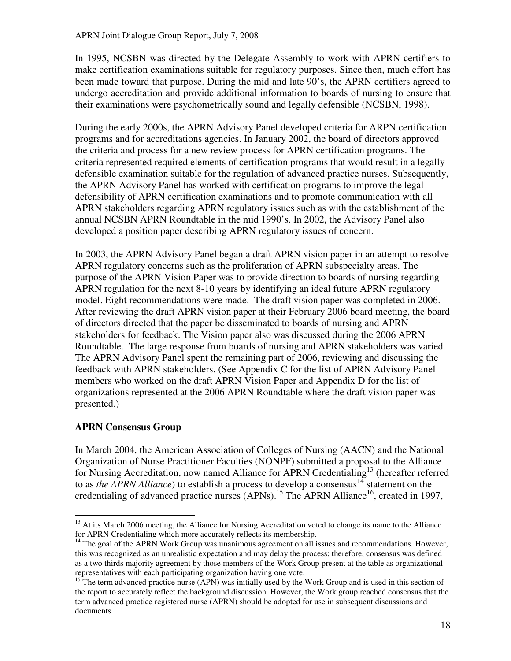In 1995, NCSBN was directed by the Delegate Assembly to work with APRN certifiers to make certification examinations suitable for regulatory purposes. Since then, much effort has been made toward that purpose. During the mid and late 90's, the APRN certifiers agreed to undergo accreditation and provide additional information to boards of nursing to ensure that their examinations were psychometrically sound and legally defensible (NCSBN, 1998).

During the early 2000s, the APRN Advisory Panel developed criteria for ARPN certification programs and for accreditations agencies. In January 2002, the board of directors approved the criteria and process for a new review process for APRN certification programs. The criteria represented required elements of certification programs that would result in a legally defensible examination suitable for the regulation of advanced practice nurses. Subsequently, the APRN Advisory Panel has worked with certification programs to improve the legal defensibility of APRN certification examinations and to promote communication with all APRN stakeholders regarding APRN regulatory issues such as with the establishment of the annual NCSBN APRN Roundtable in the mid 1990's. In 2002, the Advisory Panel also developed a position paper describing APRN regulatory issues of concern.

In 2003, the APRN Advisory Panel began a draft APRN vision paper in an attempt to resolve APRN regulatory concerns such as the proliferation of APRN subspecialty areas. The purpose of the APRN Vision Paper was to provide direction to boards of nursing regarding APRN regulation for the next 8-10 years by identifying an ideal future APRN regulatory model. Eight recommendations were made. The draft vision paper was completed in 2006. After reviewing the draft APRN vision paper at their February 2006 board meeting, the board of directors directed that the paper be disseminated to boards of nursing and APRN stakeholders for feedback. The Vision paper also was discussed during the 2006 APRN Roundtable. The large response from boards of nursing and APRN stakeholders was varied. The APRN Advisory Panel spent the remaining part of 2006, reviewing and discussing the feedback with APRN stakeholders. (See Appendix C for the list of APRN Advisory Panel members who worked on the draft APRN Vision Paper and Appendix D for the list of organizations represented at the 2006 APRN Roundtable where the draft vision paper was presented.)

## **APRN Consensus Group**

In March 2004, the American Association of Colleges of Nursing (AACN) and the National Organization of Nurse Practitioner Faculties (NONPF) submitted a proposal to the Alliance for Nursing Accreditation, now named Alliance for APRN Credentialing<sup>13</sup> (hereafter referred to as *the APRN Alliance*) to establish a process to develop a consensus<sup>14</sup> statement on the credentialing of advanced practice nurses  $(APNs)$ <sup>15</sup> The APRN Alliance<sup>16</sup>, created in 1997,

 $\overline{a}$ <sup>13</sup> At its March 2006 meeting, the Alliance for Nursing Accreditation voted to change its name to the Alliance for APRN Credentialing which more accurately reflects its membership.

 $14$  The goal of the APRN Work Group was unanimous agreement on all issues and recommendations. However, this was recognized as an unrealistic expectation and may delay the process; therefore, consensus was defined as a two thirds majority agreement by those members of the Work Group present at the table as organizational representatives with each participating organization having one vote.

<sup>&</sup>lt;sup>15</sup> The term advanced practice nurse (APN) was initially used by the Work Group and is used in this section of the report to accurately reflect the background discussion. However, the Work group reached consensus that the term advanced practice registered nurse (APRN) should be adopted for use in subsequent discussions and documents.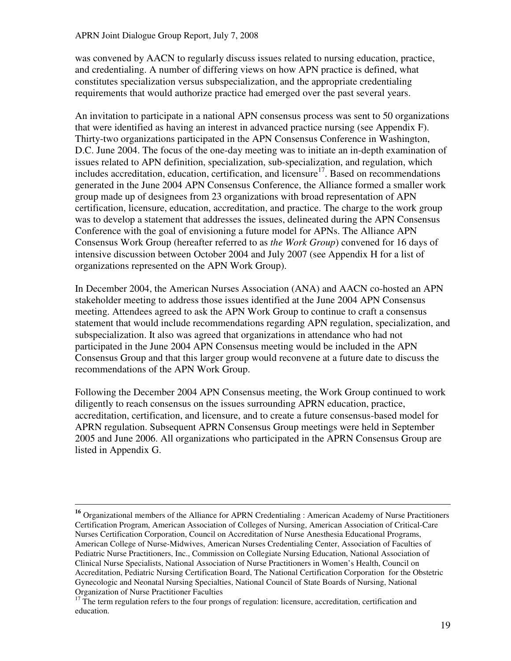$\overline{a}$ 

was convened by AACN to regularly discuss issues related to nursing education, practice, and credentialing. A number of differing views on how APN practice is defined, what constitutes specialization versus subspecialization, and the appropriate credentialing requirements that would authorize practice had emerged over the past several years.

An invitation to participate in a national APN consensus process was sent to 50 organizations that were identified as having an interest in advanced practice nursing (see Appendix F). Thirty-two organizations participated in the APN Consensus Conference in Washington, D.C. June 2004. The focus of the one-day meeting was to initiate an in-depth examination of issues related to APN definition, specialization, sub-specialization, and regulation, which includes accreditation, education, certification, and licensure<sup>17</sup>. Based on recommendations generated in the June 2004 APN Consensus Conference, the Alliance formed a smaller work group made up of designees from 23 organizations with broad representation of APN certification, licensure, education, accreditation, and practice. The charge to the work group was to develop a statement that addresses the issues, delineated during the APN Consensus Conference with the goal of envisioning a future model for APNs. The Alliance APN Consensus Work Group (hereafter referred to as *the Work Group*) convened for 16 days of intensive discussion between October 2004 and July 2007 (see Appendix H for a list of organizations represented on the APN Work Group).

In December 2004, the American Nurses Association (ANA) and AACN co-hosted an APN stakeholder meeting to address those issues identified at the June 2004 APN Consensus meeting. Attendees agreed to ask the APN Work Group to continue to craft a consensus statement that would include recommendations regarding APN regulation, specialization, and subspecialization. It also was agreed that organizations in attendance who had not participated in the June 2004 APN Consensus meeting would be included in the APN Consensus Group and that this larger group would reconvene at a future date to discuss the recommendations of the APN Work Group.

Following the December 2004 APN Consensus meeting, the Work Group continued to work diligently to reach consensus on the issues surrounding APRN education, practice, accreditation, certification, and licensure, and to create a future consensus-based model for APRN regulation. Subsequent APRN Consensus Group meetings were held in September 2005 and June 2006. All organizations who participated in the APRN Consensus Group are listed in Appendix G.

<sup>&</sup>lt;sup>16</sup> Organizational members of the Alliance for APRN Credentialing : American Academy of Nurse Practitioners Certification Program, American Association of Colleges of Nursing, American Association of Critical-Care Nurses Certification Corporation, Council on Accreditation of Nurse Anesthesia Educational Programs, American College of Nurse-Midwives, American Nurses Credentialing Center, Association of Faculties of Pediatric Nurse Practitioners, Inc., Commission on Collegiate Nursing Education, National Association of Clinical Nurse Specialists, National Association of Nurse Practitioners in Women's Health, Council on Accreditation, Pediatric Nursing Certification Board, The National Certification Corporation for the Obstetric Gynecologic and Neonatal Nursing Specialties, National Council of State Boards of Nursing, National Organization of Nurse Practitioner Faculties

 $17$  The term regulation refers to the four prongs of regulation: licensure, accreditation, certification and education.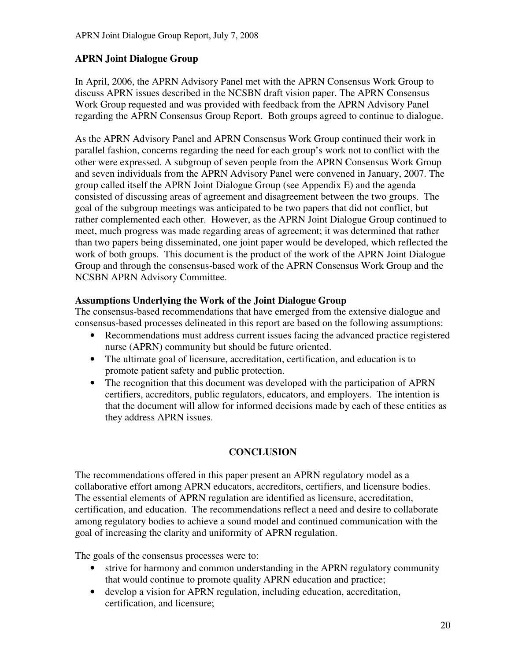### **APRN Joint Dialogue Group**

In April, 2006, the APRN Advisory Panel met with the APRN Consensus Work Group to discuss APRN issues described in the NCSBN draft vision paper. The APRN Consensus Work Group requested and was provided with feedback from the APRN Advisory Panel regarding the APRN Consensus Group Report. Both groups agreed to continue to dialogue.

As the APRN Advisory Panel and APRN Consensus Work Group continued their work in parallel fashion, concerns regarding the need for each group's work not to conflict with the other were expressed. A subgroup of seven people from the APRN Consensus Work Group and seven individuals from the APRN Advisory Panel were convened in January, 2007. The group called itself the APRN Joint Dialogue Group (see Appendix E) and the agenda consisted of discussing areas of agreement and disagreement between the two groups. The goal of the subgroup meetings was anticipated to be two papers that did not conflict, but rather complemented each other. However, as the APRN Joint Dialogue Group continued to meet, much progress was made regarding areas of agreement; it was determined that rather than two papers being disseminated, one joint paper would be developed, which reflected the work of both groups. This document is the product of the work of the APRN Joint Dialogue Group and through the consensus-based work of the APRN Consensus Work Group and the NCSBN APRN Advisory Committee.

#### **Assumptions Underlying the Work of the Joint Dialogue Group**

The consensus-based recommendations that have emerged from the extensive dialogue and consensus-based processes delineated in this report are based on the following assumptions:

- Recommendations must address current issues facing the advanced practice registered nurse (APRN) community but should be future oriented.
- The ultimate goal of licensure, accreditation, certification, and education is to promote patient safety and public protection.
- The recognition that this document was developed with the participation of APRN certifiers, accreditors, public regulators, educators, and employers. The intention is that the document will allow for informed decisions made by each of these entities as they address APRN issues.

#### **CONCLUSION**

The recommendations offered in this paper present an APRN regulatory model as a collaborative effort among APRN educators, accreditors, certifiers, and licensure bodies. The essential elements of APRN regulation are identified as licensure, accreditation, certification, and education. The recommendations reflect a need and desire to collaborate among regulatory bodies to achieve a sound model and continued communication with the goal of increasing the clarity and uniformity of APRN regulation.

The goals of the consensus processes were to:

- strive for harmony and common understanding in the APRN regulatory community that would continue to promote quality APRN education and practice;
- develop a vision for APRN regulation, including education, accreditation, certification, and licensure;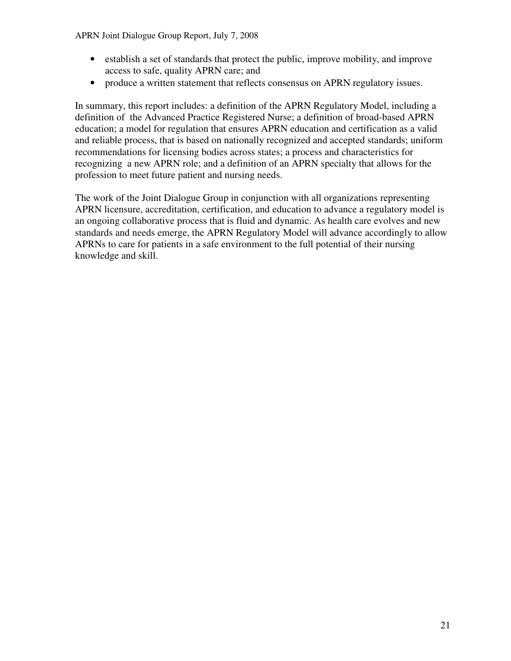- establish a set of standards that protect the public, improve mobility, and improve access to safe, quality APRN care; and
- produce a written statement that reflects consensus on APRN regulatory issues.

In summary, this report includes: a definition of the APRN Regulatory Model, including a definition of the Advanced Practice Registered Nurse; a definition of broad-based APRN education; a model for regulation that ensures APRN education and certification as a valid and reliable process, that is based on nationally recognized and accepted standards; uniform recommendations for licensing bodies across states; a process and characteristics for recognizing a new APRN role; and a definition of an APRN specialty that allows for the profession to meet future patient and nursing needs.

The work of the Joint Dialogue Group in conjunction with all organizations representing APRN licensure, accreditation, certification, and education to advance a regulatory model is an ongoing collaborative process that is fluid and dynamic. As health care evolves and new standards and needs emerge, the APRN Regulatory Model will advance accordingly to allow APRNs to care for patients in a safe environment to the full potential of their nursing knowledge and skill.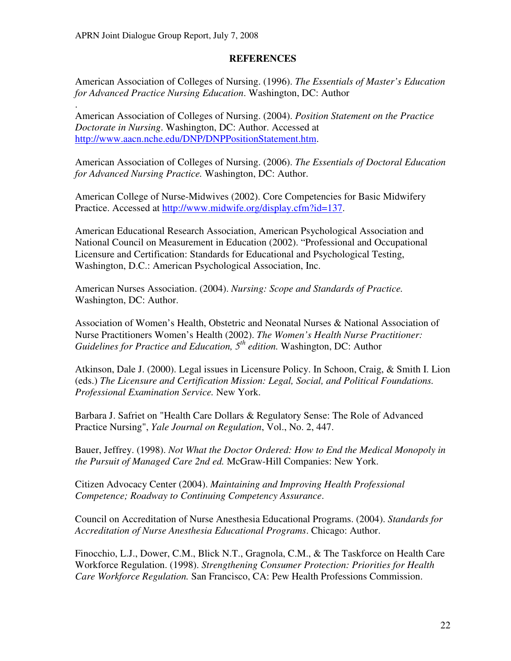#### **REFERENCES**

American Association of Colleges of Nursing. (1996). *The Essentials of Master's Education for Advanced Practice Nursing Education*. Washington, DC: Author

. American Association of Colleges of Nursing. (2004). *Position Statement on the Practice Doctorate in Nursing*. Washington, DC: Author. Accessed at http://www.aacn.nche.edu/DNP/DNPPositionStatement.htm.

American Association of Colleges of Nursing. (2006). *The Essentials of Doctoral Education for Advanced Nursing Practice.* Washington, DC: Author.

American College of Nurse-Midwives (2002). Core Competencies for Basic Midwifery Practice. Accessed at http://www.midwife.org/display.cfm?id=137.

American Educational Research Association, American Psychological Association and National Council on Measurement in Education (2002). "Professional and Occupational Licensure and Certification: Standards for Educational and Psychological Testing, Washington, D.C.: American Psychological Association, Inc.

American Nurses Association. (2004). *Nursing: Scope and Standards of Practice.* Washington, DC: Author.

Association of Women's Health, Obstetric and Neonatal Nurses & National Association of Nurse Practitioners Women's Health (2002). *The Women's Health Nurse Practitioner: Guidelines for Practice and Education, 5th edition.* Washington, DC: Author

Atkinson, Dale J. (2000). Legal issues in Licensure Policy. In Schoon, Craig, & Smith I. Lion (eds.) *The Licensure and Certification Mission: Legal, Social, and Political Foundations. Professional Examination Service.* New York.

Barbara J. Safriet on "Health Care Dollars & Regulatory Sense: The Role of Advanced Practice Nursing", *Yale Journal on Regulation*, Vol., No. 2, 447.

Bauer, Jeffrey. (1998). *Not What the Doctor Ordered: How to End the Medical Monopoly in the Pursuit of Managed Care 2nd ed.* McGraw-Hill Companies: New York.

Citizen Advocacy Center (2004). *Maintaining and Improving Health Professional Competence; Roadway to Continuing Competency Assurance*.

Council on Accreditation of Nurse Anesthesia Educational Programs. (2004). *Standards for Accreditation of Nurse Anesthesia Educational Programs*. Chicago: Author.

Finocchio, L.J., Dower, C.M., Blick N.T., Gragnola, C.M., & The Taskforce on Health Care Workforce Regulation. (1998). *Strengthening Consumer Protection: Priorities for Health Care Workforce Regulation.* San Francisco, CA: Pew Health Professions Commission.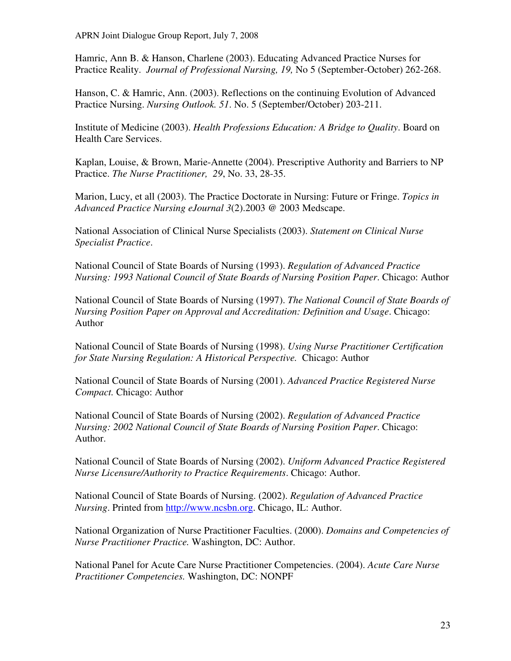Hamric, Ann B. & Hanson, Charlene (2003). Educating Advanced Practice Nurses for Practice Reality. *Journal of Professional Nursing, 19,* No 5 (September-October) 262-268.

Hanson, C. & Hamric, Ann. (2003). Reflections on the continuing Evolution of Advanced Practice Nursing. *Nursing Outlook. 51*. No. 5 (September/October) 203-211.

Institute of Medicine (2003). *Health Professions Education: A Bridge to Quality*. Board on Health Care Services.

Kaplan, Louise, & Brown, Marie-Annette (2004). Prescriptive Authority and Barriers to NP Practice. *The Nurse Practitioner, 29*, No. 33, 28-35.

Marion, Lucy, et all (2003). The Practice Doctorate in Nursing: Future or Fringe. *Topics in Advanced Practice Nursing eJournal 3*(2).2003 @ 2003 Medscape.

National Association of Clinical Nurse Specialists (2003). *Statement on Clinical Nurse Specialist Practice*.

National Council of State Boards of Nursing (1993). *Regulation of Advanced Practice Nursing: 1993 National Council of State Boards of Nursing Position Paper*. Chicago: Author

National Council of State Boards of Nursing (1997). *The National Council of State Boards of Nursing Position Paper on Approval and Accreditation: Definition and Usage*. Chicago: Author

National Council of State Boards of Nursing (1998). *Using Nurse Practitioner Certification for State Nursing Regulation: A Historical Perspective.* Chicago: Author

National Council of State Boards of Nursing (2001). *Advanced Practice Registered Nurse Compact.* Chicago: Author

National Council of State Boards of Nursing (2002). *Regulation of Advanced Practice Nursing: 2002 National Council of State Boards of Nursing Position Paper*. Chicago: Author.

National Council of State Boards of Nursing (2002). *Uniform Advanced Practice Registered Nurse Licensure/Authority to Practice Requirements*. Chicago: Author.

National Council of State Boards of Nursing. (2002). *Regulation of Advanced Practice Nursing*. Printed from http://www.ncsbn.org. Chicago, IL: Author.

National Organization of Nurse Practitioner Faculties. (2000). *Domains and Competencies of Nurse Practitioner Practice.* Washington, DC: Author.

National Panel for Acute Care Nurse Practitioner Competencies. (2004). *Acute Care Nurse Practitioner Competencies.* Washington, DC: NONPF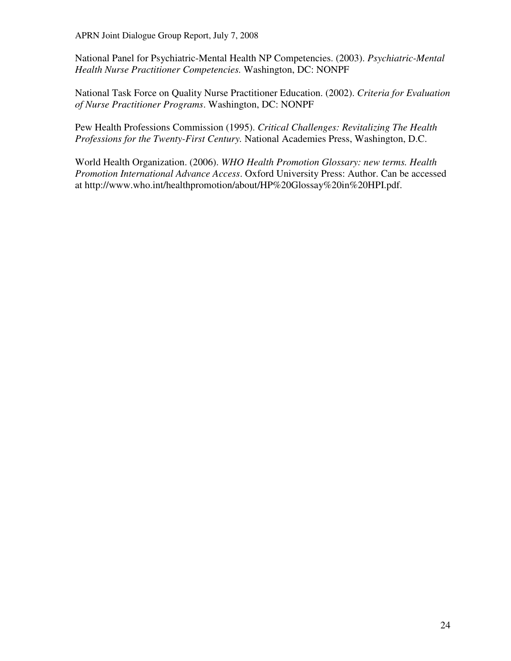National Panel for Psychiatric-Mental Health NP Competencies. (2003). *Psychiatric-Mental Health Nurse Practitioner Competencies.* Washington, DC: NONPF

National Task Force on Quality Nurse Practitioner Education. (2002). *Criteria for Evaluation of Nurse Practitioner Programs*. Washington, DC: NONPF

Pew Health Professions Commission (1995). *Critical Challenges: Revitalizing The Health Professions for the Twenty-First Century.* National Academies Press, Washington, D.C.

World Health Organization. (2006). *WHO Health Promotion Glossary: new terms. Health Promotion International Advance Access*. Oxford University Press: Author. Can be accessed at http://www.who.int/healthpromotion/about/HP%20Glossay%20in%20HPI.pdf.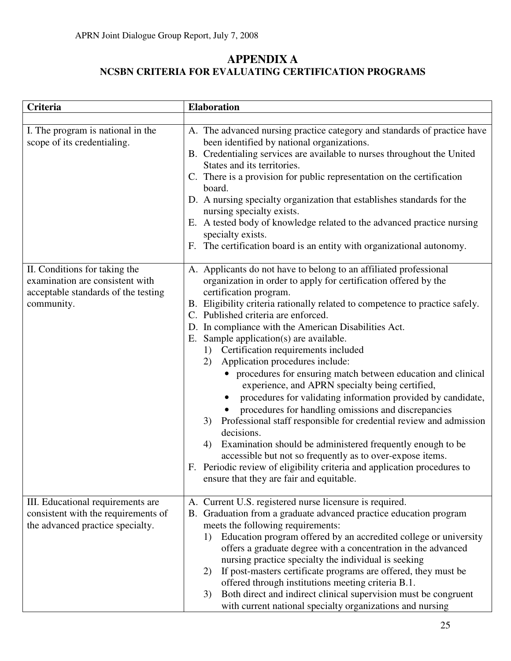## **APPENDIX A NCSBN CRITERIA FOR EVALUATING CERTIFICATION PROGRAMS**

| Criteria                                                                             | <b>Elaboration</b>                                                                                                                                                                                                                                                                                                                                                                                                                                                                                                                                                                                                                                                                                                                                                                                                                                                                                                                                                                                                 |
|--------------------------------------------------------------------------------------|--------------------------------------------------------------------------------------------------------------------------------------------------------------------------------------------------------------------------------------------------------------------------------------------------------------------------------------------------------------------------------------------------------------------------------------------------------------------------------------------------------------------------------------------------------------------------------------------------------------------------------------------------------------------------------------------------------------------------------------------------------------------------------------------------------------------------------------------------------------------------------------------------------------------------------------------------------------------------------------------------------------------|
|                                                                                      |                                                                                                                                                                                                                                                                                                                                                                                                                                                                                                                                                                                                                                                                                                                                                                                                                                                                                                                                                                                                                    |
| I. The program is national in the<br>scope of its credentialing.                     | A. The advanced nursing practice category and standards of practice have<br>been identified by national organizations.<br>B. Credentialing services are available to nurses throughout the United<br>States and its territories.<br>C. There is a provision for public representation on the certification<br>board.<br>D. A nursing specialty organization that establishes standards for the<br>nursing specialty exists.<br>E. A tested body of knowledge related to the advanced practice nursing<br>specialty exists.<br>F. The certification board is an entity with organizational autonomy.                                                                                                                                                                                                                                                                                                                                                                                                                |
| II. Conditions for taking the                                                        | A. Applicants do not have to belong to an affiliated professional                                                                                                                                                                                                                                                                                                                                                                                                                                                                                                                                                                                                                                                                                                                                                                                                                                                                                                                                                  |
| examination are consistent with<br>acceptable standards of the testing<br>community. | organization in order to apply for certification offered by the<br>certification program.<br>B. Eligibility criteria rationally related to competence to practice safely.<br>C. Published criteria are enforced.<br>D. In compliance with the American Disabilities Act.<br>E. Sample application(s) are available.<br>1) Certification requirements included<br>Application procedures include:<br>2)<br>• procedures for ensuring match between education and clinical<br>experience, and APRN specialty being certified,<br>procedures for validating information provided by candidate,<br>$\bullet$<br>procedures for handling omissions and discrepancies<br>Professional staff responsible for credential review and admission<br>3)<br>decisions.<br>Examination should be administered frequently enough to be<br>4)<br>accessible but not so frequently as to over-expose items.<br>F. Periodic review of eligibility criteria and application procedures to<br>ensure that they are fair and equitable. |
| III. Educational requirements are                                                    | Current U.S. registered nurse licensure is required.<br>А.                                                                                                                                                                                                                                                                                                                                                                                                                                                                                                                                                                                                                                                                                                                                                                                                                                                                                                                                                         |
| consistent with the requirements of<br>the advanced practice specialty.              | B. Graduation from a graduate advanced practice education program<br>meets the following requirements:<br>Education program offered by an accredited college or university<br>1)<br>offers a graduate degree with a concentration in the advanced<br>nursing practice specialty the individual is seeking<br>If post-masters certificate programs are offered, they must be<br>2)<br>offered through institutions meeting criteria B.1.<br>Both direct and indirect clinical supervision must be congruent<br>3)<br>with current national specialty organizations and nursing                                                                                                                                                                                                                                                                                                                                                                                                                                      |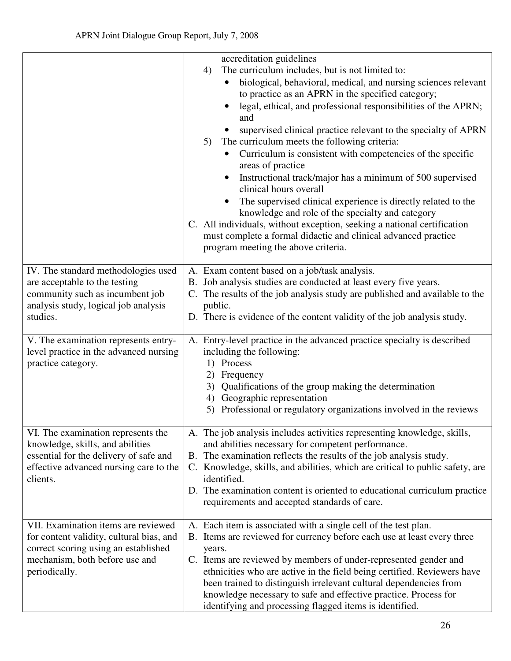|                                                                  | accreditation guidelines                                                                                          |
|------------------------------------------------------------------|-------------------------------------------------------------------------------------------------------------------|
|                                                                  | The curriculum includes, but is not limited to:<br>4)                                                             |
|                                                                  | biological, behavioral, medical, and nursing sciences relevant<br>$\bullet$                                       |
|                                                                  | to practice as an APRN in the specified category;                                                                 |
|                                                                  | legal, ethical, and professional responsibilities of the APRN;                                                    |
|                                                                  | and                                                                                                               |
|                                                                  | supervised clinical practice relevant to the specialty of APRN                                                    |
|                                                                  | The curriculum meets the following criteria:<br>5)                                                                |
|                                                                  | Curriculum is consistent with competencies of the specific<br>areas of practice                                   |
|                                                                  | Instructional track/major has a minimum of 500 supervised<br>$\bullet$<br>clinical hours overall                  |
|                                                                  | The supervised clinical experience is directly related to the                                                     |
|                                                                  | knowledge and role of the specialty and category                                                                  |
|                                                                  | C. All individuals, without exception, seeking a national certification                                           |
|                                                                  | must complete a formal didactic and clinical advanced practice                                                    |
|                                                                  | program meeting the above criteria.                                                                               |
|                                                                  |                                                                                                                   |
| IV. The standard methodologies used                              | A. Exam content based on a job/task analysis.<br>B. Job analysis studies are conducted at least every five years. |
| are acceptable to the testing<br>community such as incumbent job | C. The results of the job analysis study are published and available to the                                       |
| analysis study, logical job analysis                             | public.                                                                                                           |
| studies.                                                         | D. There is evidence of the content validity of the job analysis study.                                           |
|                                                                  |                                                                                                                   |
| V. The examination represents entry-                             | A. Entry-level practice in the advanced practice specialty is described                                           |
| level practice in the advanced nursing                           | including the following:                                                                                          |
| practice category.                                               | 1) Process                                                                                                        |
|                                                                  | 2) Frequency                                                                                                      |
|                                                                  | 3) Qualifications of the group making the determination                                                           |
|                                                                  | Geographic representation<br>4)                                                                                   |
|                                                                  | Professional or regulatory organizations involved in the reviews<br>5)                                            |
| VI. The examination represents the                               | A. The job analysis includes activities representing knowledge, skills,                                           |
| knowledge, skills, and abilities                                 | and abilities necessary for competent performance.                                                                |
| essential for the delivery of safe and                           | B. The examination reflects the results of the job analysis study.                                                |
| effective advanced nursing care to the<br>clients.               | C. Knowledge, skills, and abilities, which are critical to public safety, are<br>identified.                      |
|                                                                  | D. The examination content is oriented to educational curriculum practice                                         |
|                                                                  | requirements and accepted standards of care.                                                                      |
|                                                                  |                                                                                                                   |
| VII. Examination items are reviewed                              | A. Each item is associated with a single cell of the test plan.                                                   |
| for content validity, cultural bias, and                         | B. Items are reviewed for currency before each use at least every three                                           |
| correct scoring using an established                             | years.                                                                                                            |
| mechanism, both before use and                                   | C. Items are reviewed by members of under-represented gender and                                                  |
| periodically.                                                    | ethnicities who are active in the field being certified. Reviewers have                                           |
|                                                                  | been trained to distinguish irrelevant cultural dependencies from                                                 |
|                                                                  | knowledge necessary to safe and effective practice. Process for                                                   |
|                                                                  | identifying and processing flagged items is identified.                                                           |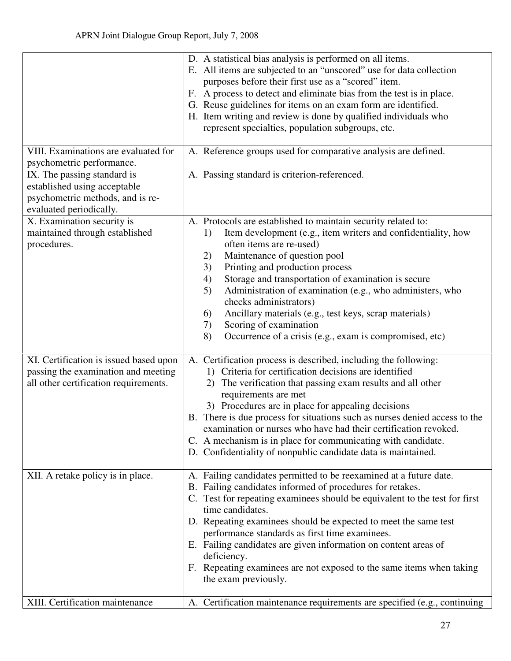|                                        | D. A statistical bias analysis is performed on all items.                  |
|----------------------------------------|----------------------------------------------------------------------------|
|                                        | E. All items are subjected to an "unscored" use for data collection        |
|                                        | purposes before their first use as a "scored" item.                        |
|                                        | F. A process to detect and eliminate bias from the test is in place.       |
|                                        | G. Reuse guidelines for items on an exam form are identified.              |
|                                        | H. Item writing and review is done by qualified individuals who            |
|                                        | represent specialties, population subgroups, etc.                          |
|                                        |                                                                            |
| VIII. Examinations are evaluated for   | A. Reference groups used for comparative analysis are defined.             |
| psychometric performance.              |                                                                            |
| IX. The passing standard is            | A. Passing standard is criterion-referenced.                               |
| established using acceptable           |                                                                            |
| psychometric methods, and is re-       |                                                                            |
|                                        |                                                                            |
| evaluated periodically.                |                                                                            |
| X. Examination security is             | A. Protocols are established to maintain security related to:              |
| maintained through established         | Item development (e.g., item writers and confidentiality, how<br>1)        |
| procedures.                            | often items are re-used)                                                   |
|                                        | Maintenance of question pool<br>2)                                         |
|                                        | Printing and production process<br>3)                                      |
|                                        | Storage and transportation of examination is secure<br>4)                  |
|                                        | Administration of examination (e.g., who administers, who<br>5)            |
|                                        | checks administrators)                                                     |
|                                        | Ancillary materials (e.g., test keys, scrap materials)<br>6)               |
|                                        | Scoring of examination<br>7)                                               |
|                                        | Occurrence of a crisis (e.g., exam is compromised, etc)<br>8)              |
|                                        |                                                                            |
| XI. Certification is issued based upon | A. Certification process is described, including the following:            |
| passing the examination and meeting    | 1) Criteria for certification decisions are identified                     |
| all other certification requirements.  | 2) The verification that passing exam results and all other                |
|                                        | requirements are met                                                       |
|                                        | 3) Procedures are in place for appealing decisions                         |
|                                        | B. There is due process for situations such as nurses denied access to the |
|                                        | examination or nurses who have had their certification revoked.            |
|                                        | C. A mechanism is in place for communicating with candidate.               |
|                                        | D. Confidentiality of nonpublic candidate data is maintained.              |
|                                        |                                                                            |
| XII. A retake policy is in place.      | A. Failing candidates permitted to be reexamined at a future date.         |
|                                        | B. Failing candidates informed of procedures for retakes.                  |
|                                        | C. Test for repeating examinees should be equivalent to the test for first |
|                                        | time candidates.                                                           |
|                                        | D. Repeating examinees should be expected to meet the same test            |
|                                        | performance standards as first time examinees.                             |
|                                        | E. Failing candidates are given information on content areas of            |
|                                        | deficiency.                                                                |
|                                        | F. Repeating examinees are not exposed to the same items when taking       |
|                                        | the exam previously.                                                       |
|                                        |                                                                            |
| XIII. Certification maintenance        | A. Certification maintenance requirements are specified (e.g., continuing  |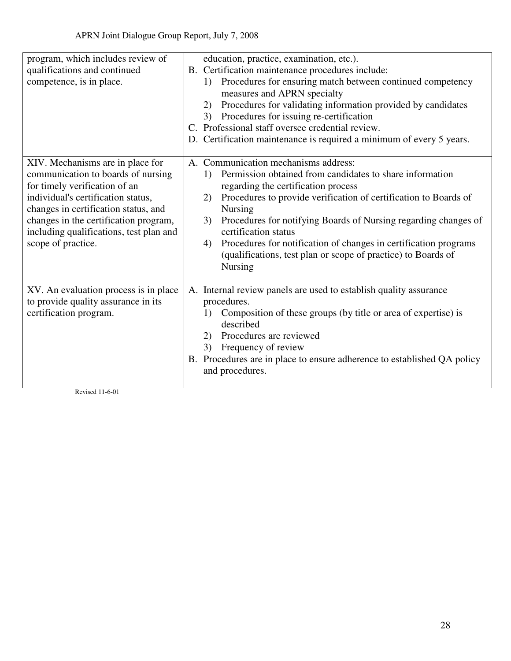| program, which includes review of<br>qualifications and continued<br>competence, is in place.                                                                                                                                                                                                   | education, practice, examination, etc.).<br>B. Certification maintenance procedures include:<br>Procedures for ensuring match between continued competency<br>1)<br>measures and APRN specialty<br>Procedures for validating information provided by candidates<br>2)<br>3) Procedures for issuing re-certification<br>C. Professional staff oversee credential review.<br>D. Certification maintenance is required a minimum of every 5 years.                                           |
|-------------------------------------------------------------------------------------------------------------------------------------------------------------------------------------------------------------------------------------------------------------------------------------------------|-------------------------------------------------------------------------------------------------------------------------------------------------------------------------------------------------------------------------------------------------------------------------------------------------------------------------------------------------------------------------------------------------------------------------------------------------------------------------------------------|
| XIV. Mechanisms are in place for<br>communication to boards of nursing<br>for timely verification of an<br>individual's certification status,<br>changes in certification status, and<br>changes in the certification program,<br>including qualifications, test plan and<br>scope of practice. | A. Communication mechanisms address:<br>Permission obtained from candidates to share information<br>1)<br>regarding the certification process<br>Procedures to provide verification of certification to Boards of<br>2)<br>Nursing<br>Procedures for notifying Boards of Nursing regarding changes of<br>3)<br>certification status<br>Procedures for notification of changes in certification programs<br>4)<br>(qualifications, test plan or scope of practice) to Boards of<br>Nursing |
| XV. An evaluation process is in place<br>to provide quality assurance in its<br>certification program.                                                                                                                                                                                          | A. Internal review panels are used to establish quality assurance<br>procedures.<br>Composition of these groups (by title or area of expertise) is<br>1)<br>described<br>2) Procedures are reviewed<br>3) Frequency of review<br>B. Procedures are in place to ensure adherence to established QA policy<br>and procedures.                                                                                                                                                               |

Revised 11-6-01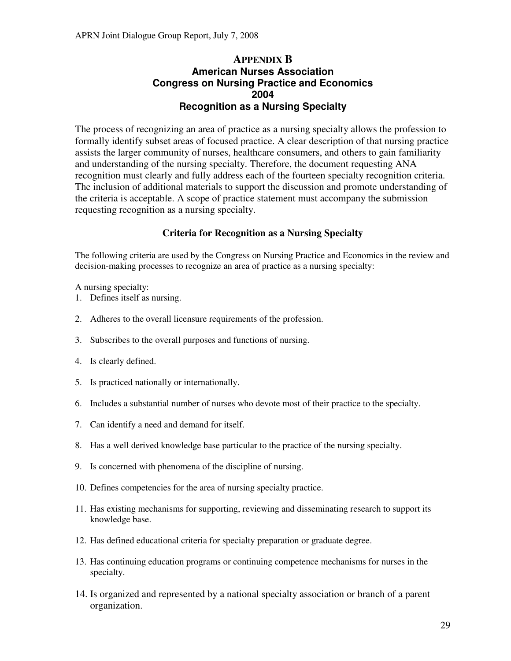### **APPENDIX B American Nurses Association Congress on Nursing Practice and Economics 2004 Recognition as a Nursing Specialty**

The process of recognizing an area of practice as a nursing specialty allows the profession to formally identify subset areas of focused practice. A clear description of that nursing practice assists the larger community of nurses, healthcare consumers, and others to gain familiarity and understanding of the nursing specialty. Therefore, the document requesting ANA recognition must clearly and fully address each of the fourteen specialty recognition criteria. The inclusion of additional materials to support the discussion and promote understanding of the criteria is acceptable. A scope of practice statement must accompany the submission requesting recognition as a nursing specialty.

#### **Criteria for Recognition as a Nursing Specialty**

The following criteria are used by the Congress on Nursing Practice and Economics in the review and decision-making processes to recognize an area of practice as a nursing specialty:

A nursing specialty:

- 1. Defines itself as nursing.
- 2. Adheres to the overall licensure requirements of the profession.
- 3. Subscribes to the overall purposes and functions of nursing.
- 4. Is clearly defined.
- 5. Is practiced nationally or internationally.
- 6. Includes a substantial number of nurses who devote most of their practice to the specialty.
- 7. Can identify a need and demand for itself.
- 8. Has a well derived knowledge base particular to the practice of the nursing specialty.
- 9. Is concerned with phenomena of the discipline of nursing.
- 10. Defines competencies for the area of nursing specialty practice.
- 11. Has existing mechanisms for supporting, reviewing and disseminating research to support its knowledge base.
- 12. Has defined educational criteria for specialty preparation or graduate degree.
- 13. Has continuing education programs or continuing competence mechanisms for nurses in the specialty.
- 14. Is organized and represented by a national specialty association or branch of a parent organization.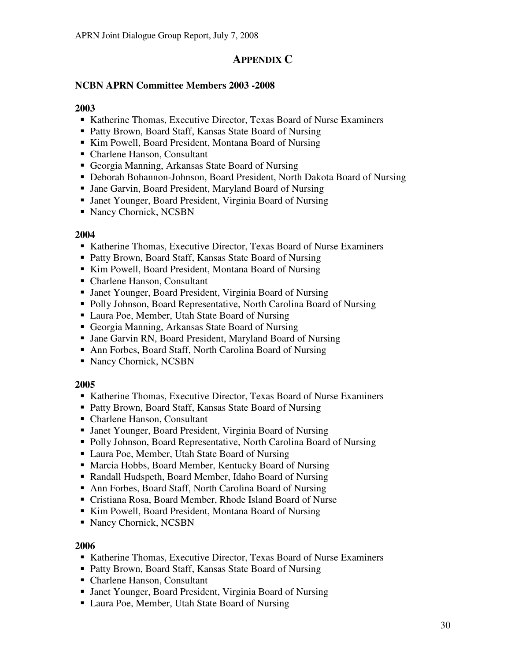## **APPENDIX C**

### **NCBN APRN Committee Members 2003 -2008**

### **2003**

- Katherine Thomas, Executive Director, Texas Board of Nurse Examiners
- Patty Brown, Board Staff, Kansas State Board of Nursing
- Kim Powell, Board President, Montana Board of Nursing
- Charlene Hanson, Consultant
- Georgia Manning, Arkansas State Board of Nursing
- **Deborah Bohannon-Johnson, Board President, North Dakota Board of Nursing**
- Jane Garvin, Board President, Maryland Board of Nursing
- **IF Janet Younger, Board President, Virginia Board of Nursing**
- Nancy Chornick, NCSBN

### **2004**

- Katherine Thomas, Executive Director, Texas Board of Nurse Examiners
- **Patty Brown, Board Staff, Kansas State Board of Nursing**
- Kim Powell, Board President, Montana Board of Nursing
- Charlene Hanson, Consultant
- **IF Janet Younger, Board President, Virginia Board of Nursing**
- Polly Johnson, Board Representative, North Carolina Board of Nursing
- **Laura Poe, Member, Utah State Board of Nursing**
- Georgia Manning, Arkansas State Board of Nursing
- Jane Garvin RN, Board President, Maryland Board of Nursing
- Ann Forbes, Board Staff, North Carolina Board of Nursing
- Nancy Chornick, NCSBN

#### **2005**

- Katherine Thomas, Executive Director, Texas Board of Nurse Examiners
- Patty Brown, Board Staff, Kansas State Board of Nursing
- Charlene Hanson, Consultant
- **IF Janet Younger, Board President, Virginia Board of Nursing**
- Polly Johnson, Board Representative, North Carolina Board of Nursing
- **Laura Poe, Member, Utah State Board of Nursing**
- Marcia Hobbs, Board Member, Kentucky Board of Nursing
- Randall Hudspeth, Board Member, Idaho Board of Nursing
- Ann Forbes, Board Staff, North Carolina Board of Nursing
- Cristiana Rosa, Board Member, Rhode Island Board of Nurse
- Kim Powell, Board President, Montana Board of Nursing
- Nancy Chornick, NCSBN

## **2006**

- Katherine Thomas, Executive Director, Texas Board of Nurse Examiners
- Patty Brown, Board Staff, Kansas State Board of Nursing
- Charlene Hanson, Consultant
- **IF Janet Younger, Board President, Virginia Board of Nursing**
- **Laura Poe, Member, Utah State Board of Nursing**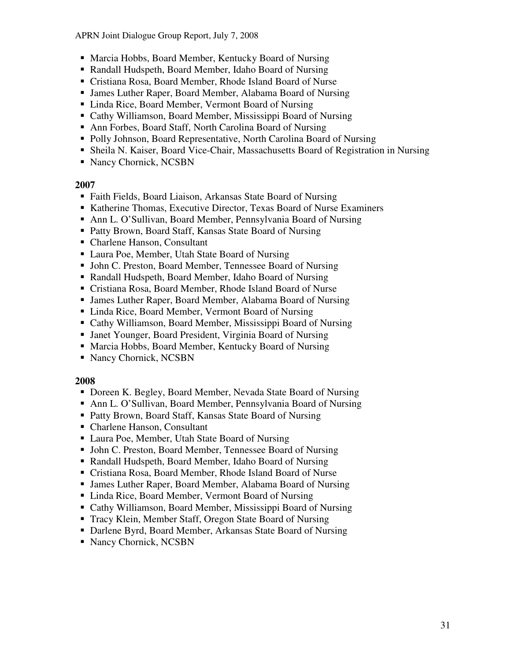APRN Joint Dialogue Group Report, July 7, 2008

- Marcia Hobbs, Board Member, Kentucky Board of Nursing
- Randall Hudspeth, Board Member, Idaho Board of Nursing
- Cristiana Rosa, Board Member, Rhode Island Board of Nurse
- **IF James Luther Raper, Board Member, Alabama Board of Nursing**
- **Linda Rice, Board Member, Vermont Board of Nursing**
- Cathy Williamson, Board Member, Mississippi Board of Nursing
- Ann Forbes, Board Staff, North Carolina Board of Nursing
- Polly Johnson, Board Representative, North Carolina Board of Nursing
- Sheila N. Kaiser, Board Vice-Chair, Massachusetts Board of Registration in Nursing
- Nancy Chornick, NCSBN

#### **2007**

- Faith Fields, Board Liaison, Arkansas State Board of Nursing
- Katherine Thomas, Executive Director, Texas Board of Nurse Examiners
- Ann L. O'Sullivan, Board Member, Pennsylvania Board of Nursing
- Patty Brown, Board Staff, Kansas State Board of Nursing
- Charlene Hanson, Consultant
- **Laura Poe, Member, Utah State Board of Nursing**
- **John C. Preston, Board Member, Tennessee Board of Nursing**
- Randall Hudspeth, Board Member, Idaho Board of Nursing
- Cristiana Rosa, Board Member, Rhode Island Board of Nurse
- **IF James Luther Raper, Board Member, Alabama Board of Nursing**
- **Linda Rice, Board Member, Vermont Board of Nursing**
- Cathy Williamson, Board Member, Mississippi Board of Nursing
- **IF Janet Younger, Board President, Virginia Board of Nursing**
- Marcia Hobbs, Board Member, Kentucky Board of Nursing
- Nancy Chornick, NCSBN

## **2008**

- **Doreen K. Begley, Board Member, Nevada State Board of Nursing**
- Ann L. O'Sullivan, Board Member, Pennsylvania Board of Nursing
- **Patty Brown, Board Staff, Kansas State Board of Nursing**
- Charlene Hanson, Consultant
- **Laura Poe, Member, Utah State Board of Nursing**
- **John C. Preston, Board Member, Tennessee Board of Nursing**
- Randall Hudspeth, Board Member, Idaho Board of Nursing
- Cristiana Rosa, Board Member, Rhode Island Board of Nurse
- James Luther Raper, Board Member, Alabama Board of Nursing
- **Linda Rice, Board Member, Vermont Board of Nursing**
- Cathy Williamson, Board Member, Mississippi Board of Nursing
- Tracy Klein, Member Staff, Oregon State Board of Nursing
- Darlene Byrd, Board Member, Arkansas State Board of Nursing
- Nancy Chornick, NCSBN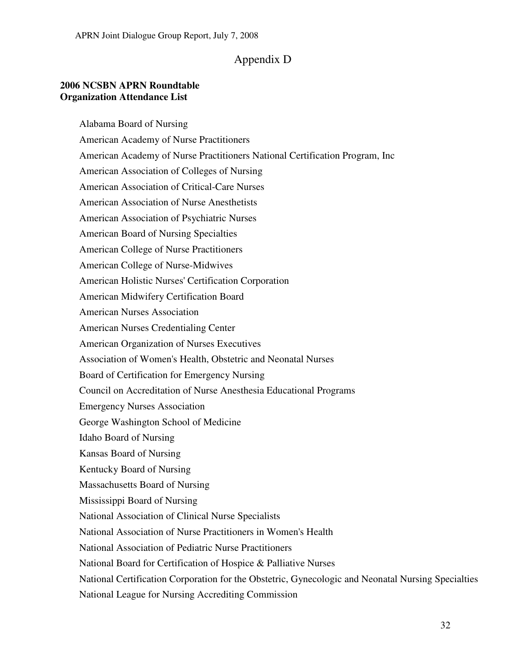### Appendix D

#### **2006 NCSBN APRN Roundtable Organization Attendance List**

Alabama Board of Nursing American Academy of Nurse Practitioners American Academy of Nurse Practitioners National Certification Program, Inc American Association of Colleges of Nursing American Association of Critical-Care Nurses American Association of Nurse Anesthetists American Association of Psychiatric Nurses American Board of Nursing Specialties American College of Nurse Practitioners American College of Nurse-Midwives American Holistic Nurses' Certification Corporation American Midwifery Certification Board American Nurses Association American Nurses Credentialing Center American Organization of Nurses Executives Association of Women's Health, Obstetric and Neonatal Nurses Board of Certification for Emergency Nursing Council on Accreditation of Nurse Anesthesia Educational Programs Emergency Nurses Association George Washington School of Medicine Idaho Board of Nursing Kansas Board of Nursing Kentucky Board of Nursing Massachusetts Board of Nursing Mississippi Board of Nursing National Association of Clinical Nurse Specialists National Association of Nurse Practitioners in Women's Health National Association of Pediatric Nurse Practitioners National Board for Certification of Hospice & Palliative Nurses National Certification Corporation for the Obstetric, Gynecologic and Neonatal Nursing Specialties National League for Nursing Accrediting Commission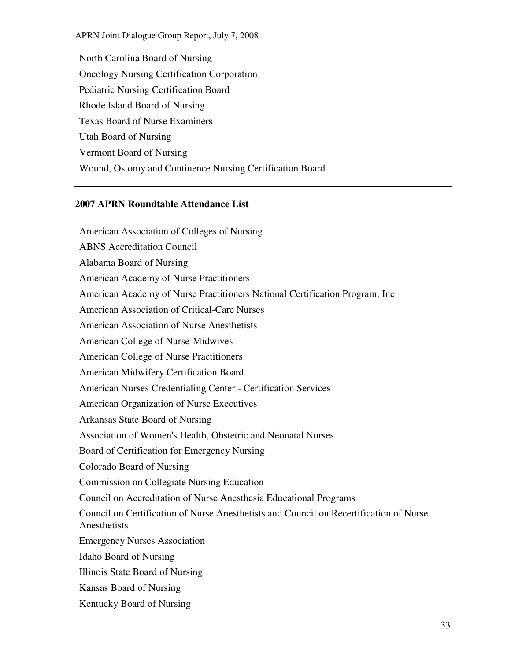APRN Joint Dialogue Group Report, July 7, 2008

North Carolina Board of Nursing Oncology Nursing Certification Corporation Pediatric Nursing Certification Board Rhode Island Board of Nursing Texas Board of Nurse Examiners Utah Board of Nursing Vermont Board of Nursing Wound, Ostomy and Continence Nursing Certification Board

#### **2007 APRN Roundtable Attendance List**

American Association of Colleges of Nursing ABNS Accreditation Council Alabama Board of Nursing American Academy of Nurse Practitioners American Academy of Nurse Practitioners National Certification Program, Inc American Association of Critical-Care Nurses American Association of Nurse Anesthetists American College of Nurse-Midwives American College of Nurse Practitioners American Midwifery Certification Board American Nurses Credentialing Center - Certification Services American Organization of Nurse Executives Arkansas State Board of Nursing Association of Women's Health, Obstetric and Neonatal Nurses Board of Certification for Emergency Nursing Colorado Board of Nursing Commission on Collegiate Nursing Education Council on Accreditation of Nurse Anesthesia Educational Programs Council on Certification of Nurse Anesthetists and Council on Recertification of Nurse Anesthetists Emergency Nurses Association Idaho Board of Nursing Illinois State Board of Nursing Kansas Board of Nursing Kentucky Board of Nursing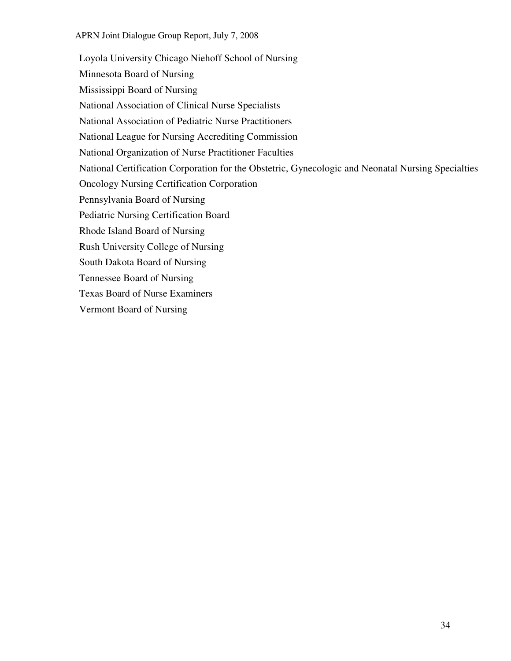Loyola University Chicago Niehoff School of Nursing Minnesota Board of Nursing Mississippi Board of Nursing National Association of Clinical Nurse Specialists National Association of Pediatric Nurse Practitioners National League for Nursing Accrediting Commission National Organization of Nurse Practitioner Faculties National Certification Corporation for the Obstetric, Gynecologic and Neonatal Nursing Specialties Oncology Nursing Certification Corporation Pennsylvania Board of Nursing Pediatric Nursing Certification Board Rhode Island Board of Nursing Rush University College of Nursing South Dakota Board of Nursing Tennessee Board of Nursing Texas Board of Nurse Examiners Vermont Board of Nursing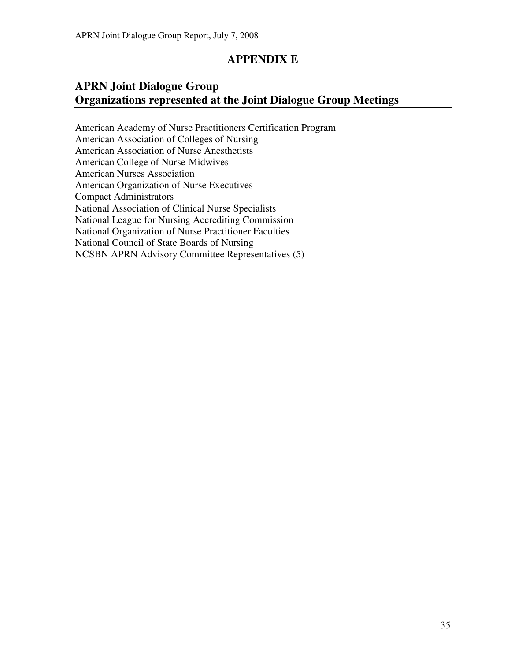# **APPENDIX E**

# **APRN Joint Dialogue Group Organizations represented at the Joint Dialogue Group Meetings**

American Academy of Nurse Practitioners Certification Program American Association of Colleges of Nursing American Association of Nurse Anesthetists American College of Nurse-Midwives American Nurses Association American Organization of Nurse Executives Compact Administrators National Association of Clinical Nurse Specialists National League for Nursing Accrediting Commission National Organization of Nurse Practitioner Faculties National Council of State Boards of Nursing NCSBN APRN Advisory Committee Representatives (5)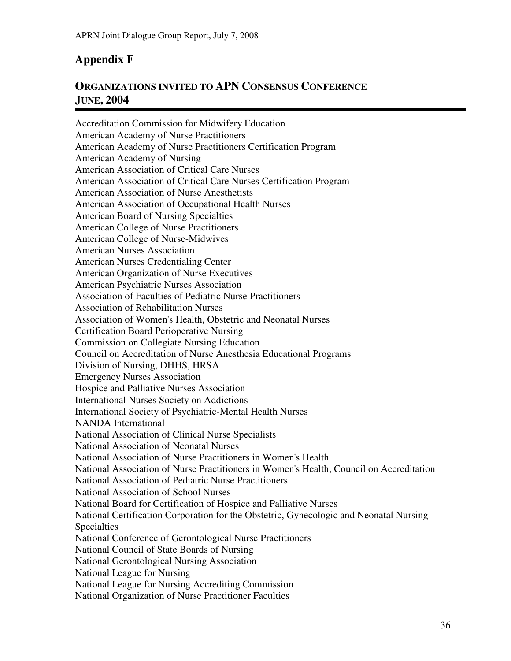# **Appendix F**

## **ORGANIZATIONS INVITED TO APN CONSENSUS CONFERENCE JUNE, 2004**

Accreditation Commission for Midwifery Education American Academy of Nurse Practitioners American Academy of Nurse Practitioners Certification Program American Academy of Nursing American Association of Critical Care Nurses American Association of Critical Care Nurses Certification Program American Association of Nurse Anesthetists American Association of Occupational Health Nurses American Board of Nursing Specialties American College of Nurse Practitioners American College of Nurse-Midwives American Nurses Association American Nurses Credentialing Center American Organization of Nurse Executives American Psychiatric Nurses Association Association of Faculties of Pediatric Nurse Practitioners Association of Rehabilitation Nurses Association of Women's Health, Obstetric and Neonatal Nurses Certification Board Perioperative Nursing Commission on Collegiate Nursing Education Council on Accreditation of Nurse Anesthesia Educational Programs Division of Nursing, DHHS, HRSA Emergency Nurses Association Hospice and Palliative Nurses Association International Nurses Society on Addictions International Society of Psychiatric-Mental Health Nurses NANDA International National Association of Clinical Nurse Specialists National Association of Neonatal Nurses National Association of Nurse Practitioners in Women's Health National Association of Nurse Practitioners in Women's Health, Council on Accreditation National Association of Pediatric Nurse Practitioners National Association of School Nurses National Board for Certification of Hospice and Palliative Nurses National Certification Corporation for the Obstetric, Gynecologic and Neonatal Nursing **Specialties** National Conference of Gerontological Nurse Practitioners National Council of State Boards of Nursing National Gerontological Nursing Association National League for Nursing National League for Nursing Accrediting Commission National Organization of Nurse Practitioner Faculties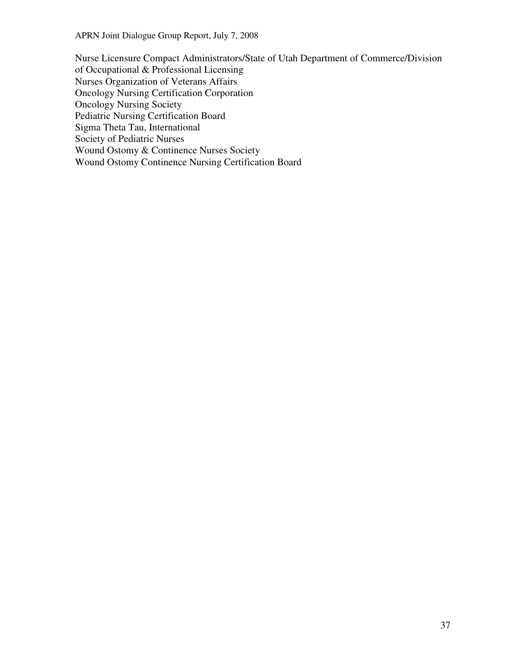APRN Joint Dialogue Group Report, July 7, 2008

Nurse Licensure Compact Administrators/State of Utah Department of Commerce/Division of Occupational & Professional Licensing Nurses Organization of Veterans Affairs Oncology Nursing Certification Corporation Oncology Nursing Society Pediatric Nursing Certification Board Sigma Theta Tau, International Society of Pediatric Nurses Wound Ostomy & Continence Nurses Society Wound Ostomy Continence Nursing Certification Board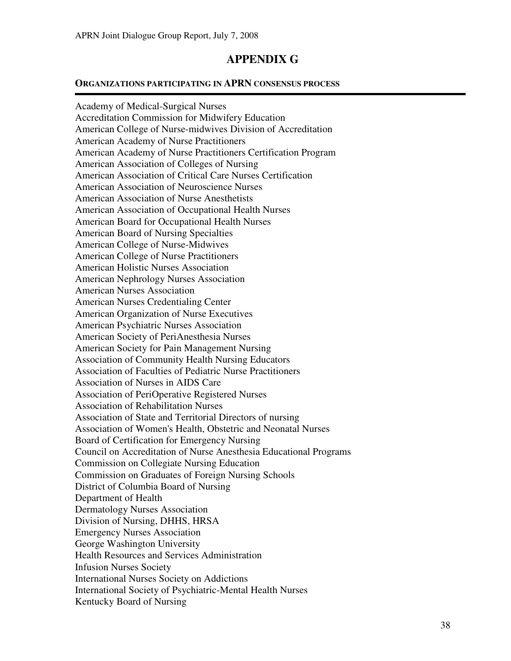## **APPENDIX G**

#### **ORGANIZATIONS PARTICIPATING IN APRN CONSENSUS PROCESS**

Academy of Medical-Surgical Nurses Accreditation Commission for Midwifery Education American College of Nurse-midwives Division of Accreditation American Academy of Nurse Practitioners American Academy of Nurse Practitioners Certification Program American Association of Colleges of Nursing American Association of Critical Care Nurses Certification American Association of Neuroscience Nurses American Association of Nurse Anesthetists American Association of Occupational Health Nurses American Board for Occupational Health Nurses American Board of Nursing Specialties American College of Nurse-Midwives American College of Nurse Practitioners American Holistic Nurses Association American Nephrology Nurses Association American Nurses Association American Nurses Credentialing Center American Organization of Nurse Executives American Psychiatric Nurses Association American Society of PeriAnesthesia Nurses American Society for Pain Management Nursing Association of Community Health Nursing Educators Association of Faculties of Pediatric Nurse Practitioners Association of Nurses in AIDS Care Association of PeriOperative Registered Nurses Association of Rehabilitation Nurses Association of State and Territorial Directors of nursing Association of Women's Health, Obstetric and Neonatal Nurses Board of Certification for Emergency Nursing Council on Accreditation of Nurse Anesthesia Educational Programs Commission on Collegiate Nursing Education Commission on Graduates of Foreign Nursing Schools District of Columbia Board of Nursing Department of Health Dermatology Nurses Association Division of Nursing, DHHS, HRSA Emergency Nurses Association George Washington University Health Resources and Services Administration Infusion Nurses Society International Nurses Society on Addictions International Society of Psychiatric-Mental Health Nurses Kentucky Board of Nursing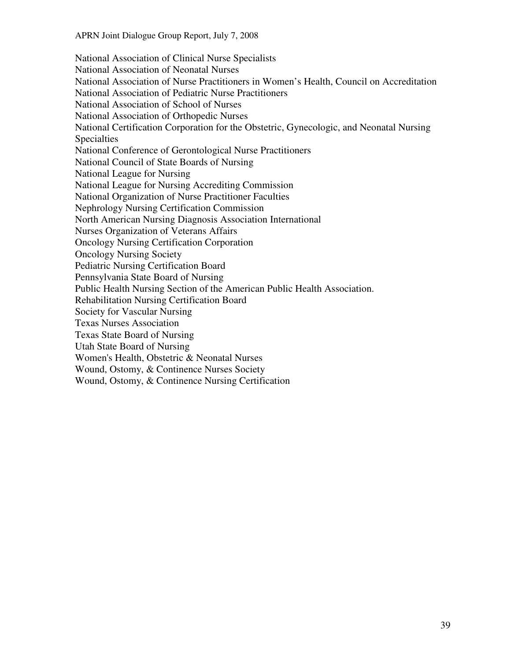National Association of Clinical Nurse Specialists National Association of Neonatal Nurses National Association of Nurse Practitioners in Women's Health, Council on Accreditation National Association of Pediatric Nurse Practitioners National Association of School of Nurses National Association of Orthopedic Nurses National Certification Corporation for the Obstetric, Gynecologic, and Neonatal Nursing Specialties National Conference of Gerontological Nurse Practitioners National Council of State Boards of Nursing National League for Nursing National League for Nursing Accrediting Commission National Organization of Nurse Practitioner Faculties Nephrology Nursing Certification Commission North American Nursing Diagnosis Association International Nurses Organization of Veterans Affairs Oncology Nursing Certification Corporation Oncology Nursing Society Pediatric Nursing Certification Board Pennsylvania State Board of Nursing Public Health Nursing Section of the American Public Health Association. Rehabilitation Nursing Certification Board Society for Vascular Nursing Texas Nurses Association Texas State Board of Nursing Utah State Board of Nursing Women's Health, Obstetric & Neonatal Nurses Wound, Ostomy, & Continence Nurses Society Wound, Ostomy, & Continence Nursing Certification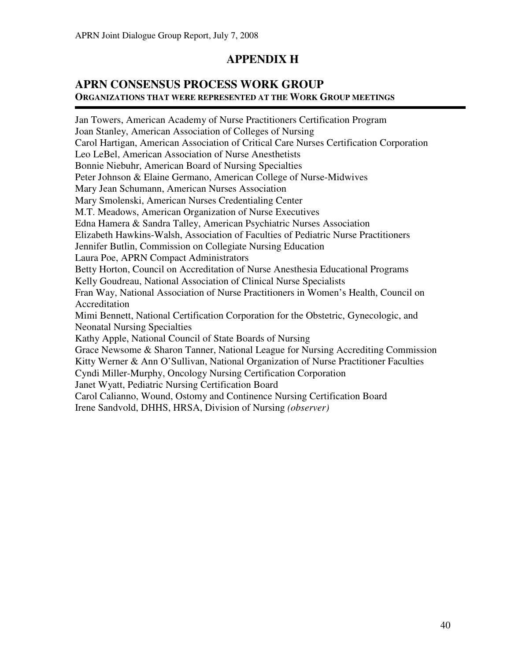# **APPENDIX H**

## **APRN CONSENSUS PROCESS WORK GROUP ORGANIZATIONS THAT WERE REPRESENTED AT THE WORK GROUP MEETINGS**

Jan Towers, American Academy of Nurse Practitioners Certification Program Joan Stanley, American Association of Colleges of Nursing Carol Hartigan, American Association of Critical Care Nurses Certification Corporation Leo LeBel, American Association of Nurse Anesthetists Bonnie Niebuhr, American Board of Nursing Specialties Peter Johnson & Elaine Germano, American College of Nurse-Midwives Mary Jean Schumann, American Nurses Association Mary Smolenski, American Nurses Credentialing Center M.T. Meadows, American Organization of Nurse Executives Edna Hamera & Sandra Talley, American Psychiatric Nurses Association Elizabeth Hawkins-Walsh, Association of Faculties of Pediatric Nurse Practitioners Jennifer Butlin, Commission on Collegiate Nursing Education Laura Poe, APRN Compact Administrators Betty Horton, Council on Accreditation of Nurse Anesthesia Educational Programs Kelly Goudreau, National Association of Clinical Nurse Specialists Fran Way, National Association of Nurse Practitioners in Women's Health, Council on Accreditation Mimi Bennett, National Certification Corporation for the Obstetric, Gynecologic, and Neonatal Nursing Specialties Kathy Apple, National Council of State Boards of Nursing Grace Newsome & Sharon Tanner, National League for Nursing Accrediting Commission Kitty Werner & Ann O'Sullivan, National Organization of Nurse Practitioner Faculties Cyndi Miller-Murphy, Oncology Nursing Certification Corporation Janet Wyatt, Pediatric Nursing Certification Board Carol Calianno, Wound, Ostomy and Continence Nursing Certification Board Irene Sandvold, DHHS, HRSA, Division of Nursing *(observer)*